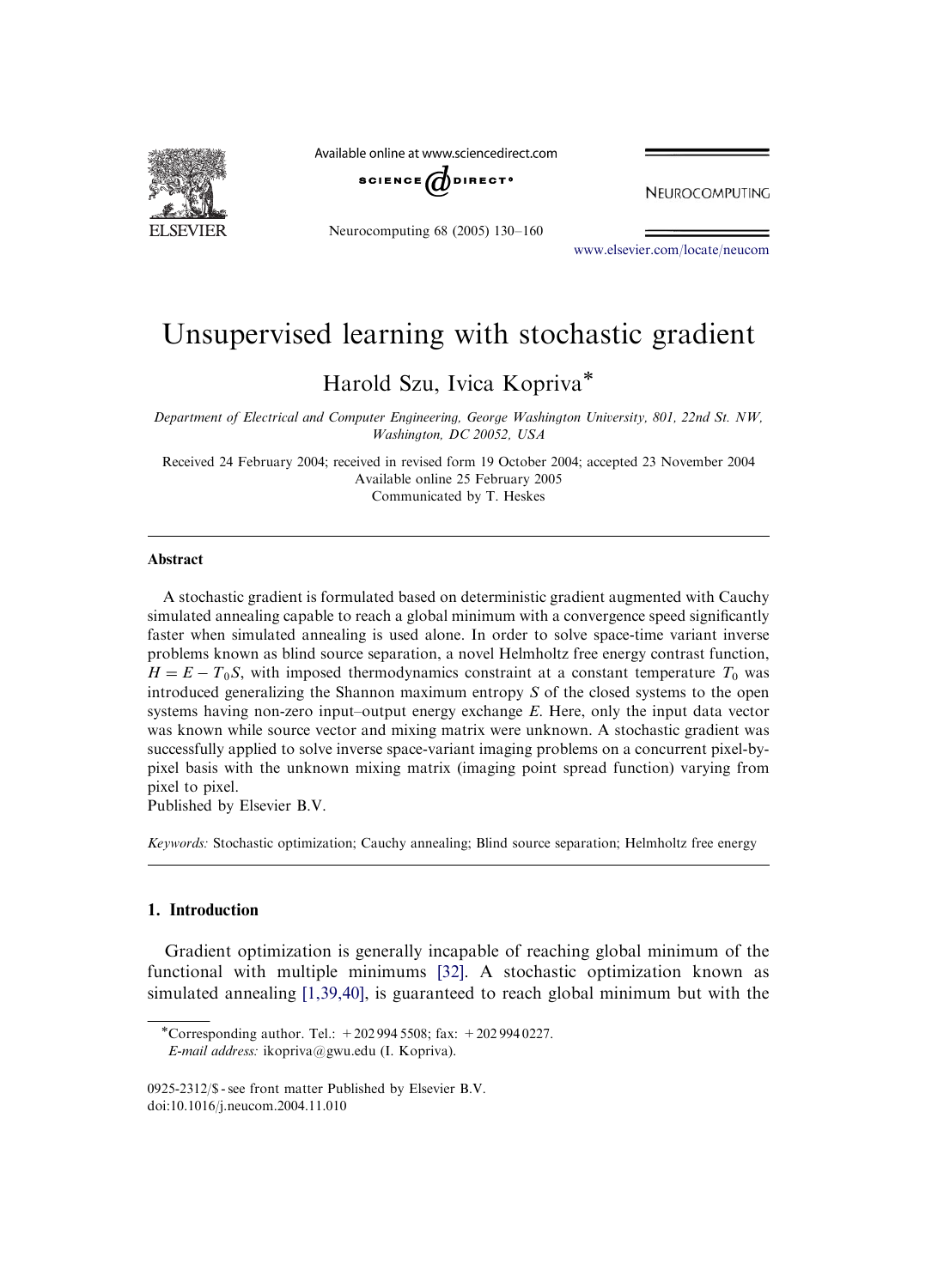

Available online at www.sciencedirect.com



Neurocomputing 68 (2005) 130–160

NEUROCOMPUTING

<www.elsevier.com/locate/neucom>

# Unsupervised learning with stochastic gradient

Harold Szu, Ivica Kopriva

Department of Electrical and Computer Engineering, George Washington University, 801, 22nd St. NW, Washington, DC 20052, USA

Received 24 February 2004; received in revised form 19 October 2004; accepted 23 November 2004 Available online 25 February 2005 Communicated by T. Heskes

#### Abstract

A stochastic gradient is formulated based on deterministic gradient augmented with Cauchy simulated annealing capable to reach a global minimum with a convergence speed significantly faster when simulated annealing is used alone. In order to solve space-time variant inverse problems known as blind source separation, a novel Helmholtz free energy contrast function,  $H = E - T_0 S$ , with imposed thermodynamics constraint at a constant temperature  $T_0$  was introduced generalizing the Shannon maximum entropy  $S$  of the closed systems to the open systems having non-zero input–output energy exchange  $E$ . Here, only the input data vector was known while source vector and mixing matrix were unknown. A stochastic gradient was successfully applied to solve inverse space-variant imaging problems on a concurrent pixel-bypixel basis with the unknown mixing matrix (imaging point spread function) varying from pixel to pixel.

Published by Elsevier B.V.

Keywords: Stochastic optimization; Cauchy annealing; Blind source separation; Helmholtz free energy

### 1. Introduction

Gradient optimization is generally incapable of reaching global minimum of the functional with multiple minimums [\[32\].](#page-29-0) A stochastic optimization known as simulated annealing [\[1,39,40\]](#page-28-0), is guaranteed to reach global minimum but with the

<sup>\*</sup>Corresponding author. Tel.:  $+2029945508$ ; fax:  $+2029940227$ .

E-mail address: ikopriva@gwu.edu (I. Kopriva).

<sup>0925-2312/\$ -</sup> see front matter Published by Elsevier B.V. doi:10.1016/j.neucom.2004.11.010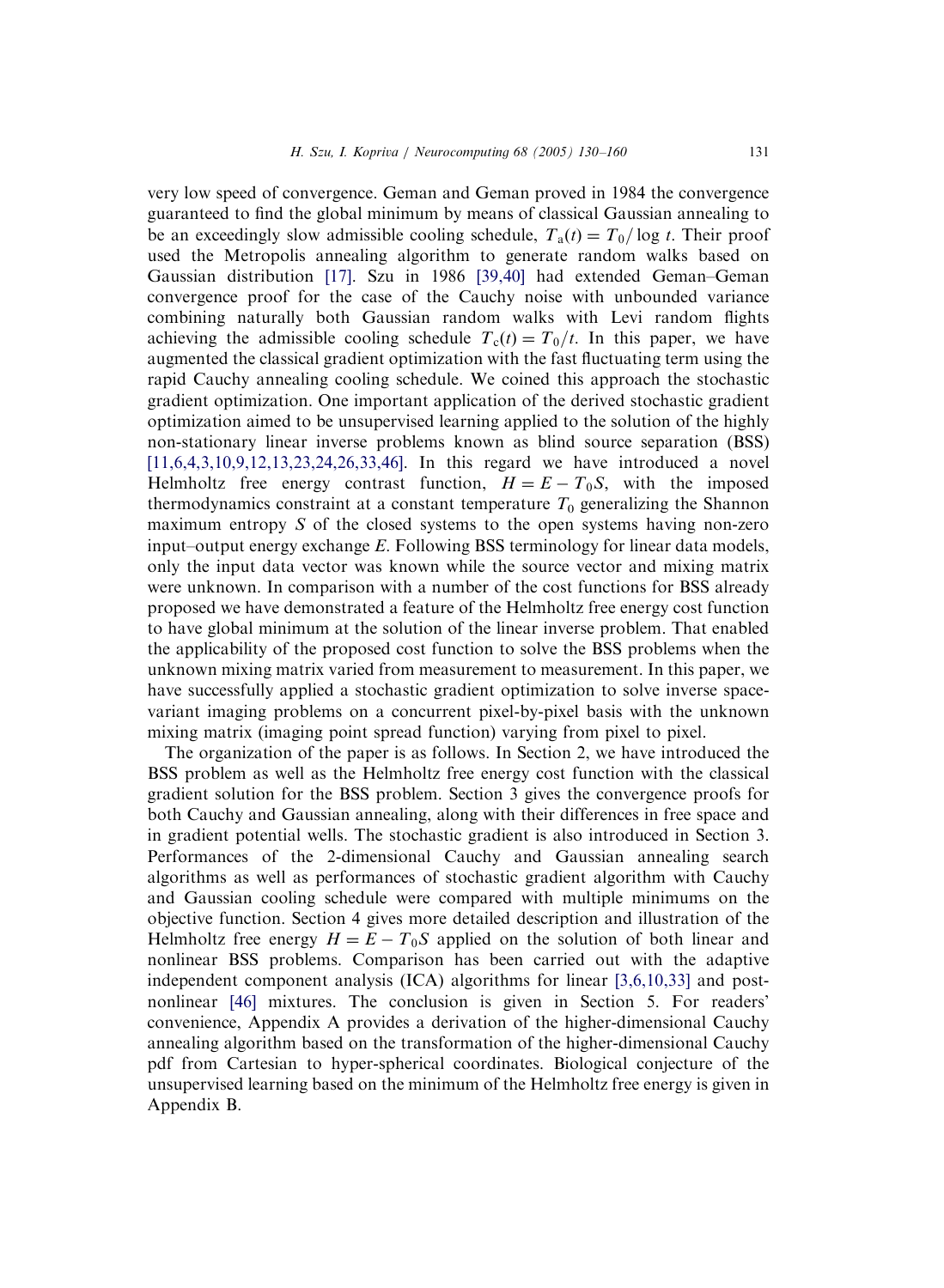very low speed of convergence. Geman and Geman proved in 1984 the convergence guaranteed to find the global minimum by means of classical Gaussian annealing to be an exceedingly slow admissible cooling schedule,  $T_a(t) = T_0 / \log t$ . Their proof used the Metropolis annealing algorithm to generate random walks based on Gaussian distribution [\[17\].](#page-28-0) Szu in 1986 [\[39,40\]](#page-29-0) had extended Geman–Geman convergence proof for the case of the Cauchy noise with unbounded variance combining naturally both Gaussian random walks with Levi random flights achieving the admissible cooling schedule  $T_c(t) = T_0/t$ . In this paper, we have augmented the classical gradient optimization with the fast fluctuating term using the rapid Cauchy annealing cooling schedule. We coined this approach the stochastic gradient optimization. One important application of the derived stochastic gradient optimization aimed to be unsupervised learning applied to the solution of the highly non-stationary linear inverse problems known as blind source separation (BSS) [\[11,6,4,3,10,9,12,13,23,24,26,33,46\].](#page-28-0) In this regard we have introduced a novel Helmholtz free energy contrast function,  $H = E - T_0 S$ , with the imposed thermodynamics constraint at a constant temperature  $T_0$  generalizing the Shannon maximum entropy  $S$  of the closed systems to the open systems having non-zero input–output energy exchange E. Following BSS terminology for linear data models, only the input data vector was known while the source vector and mixing matrix were unknown. In comparison with a number of the cost functions for BSS already proposed we have demonstrated a feature of the Helmholtz free energy cost function to have global minimum at the solution of the linear inverse problem. That enabled the applicability of the proposed cost function to solve the BSS problems when the unknown mixing matrix varied from measurement to measurement. In this paper, we have successfully applied a stochastic gradient optimization to solve inverse spacevariant imaging problems on a concurrent pixel-by-pixel basis with the unknown mixing matrix (imaging point spread function) varying from pixel to pixel.

The organization of the paper is as follows. In Section 2, we have introduced the BSS problem as well as the Helmholtz free energy cost function with the classical gradient solution for the BSS problem. Section 3 gives the convergence proofs for both Cauchy and Gaussian annealing, along with their differences in free space and in gradient potential wells. The stochastic gradient is also introduced in Section 3. Performances of the 2-dimensional Cauchy and Gaussian annealing search algorithms as well as performances of stochastic gradient algorithm with Cauchy and Gaussian cooling schedule were compared with multiple minimums on the objective function. Section 4 gives more detailed description and illustration of the Helmholtz free energy  $H = E - T_0S$  applied on the solution of both linear and nonlinear BSS problems. Comparison has been carried out with the adaptive independent component analysis (ICA) algorithms for linear [\[3,6,10,33\]](#page-28-0) and postnonlinear [\[46\]](#page-30-0) mixtures. The conclusion is given in Section 5. For readers' convenience, Appendix A provides a derivation of the higher-dimensional Cauchy annealing algorithm based on the transformation of the higher-dimensional Cauchy pdf from Cartesian to hyper-spherical coordinates. Biological conjecture of the unsupervised learning based on the minimum of the Helmholtz free energy is given in Appendix B.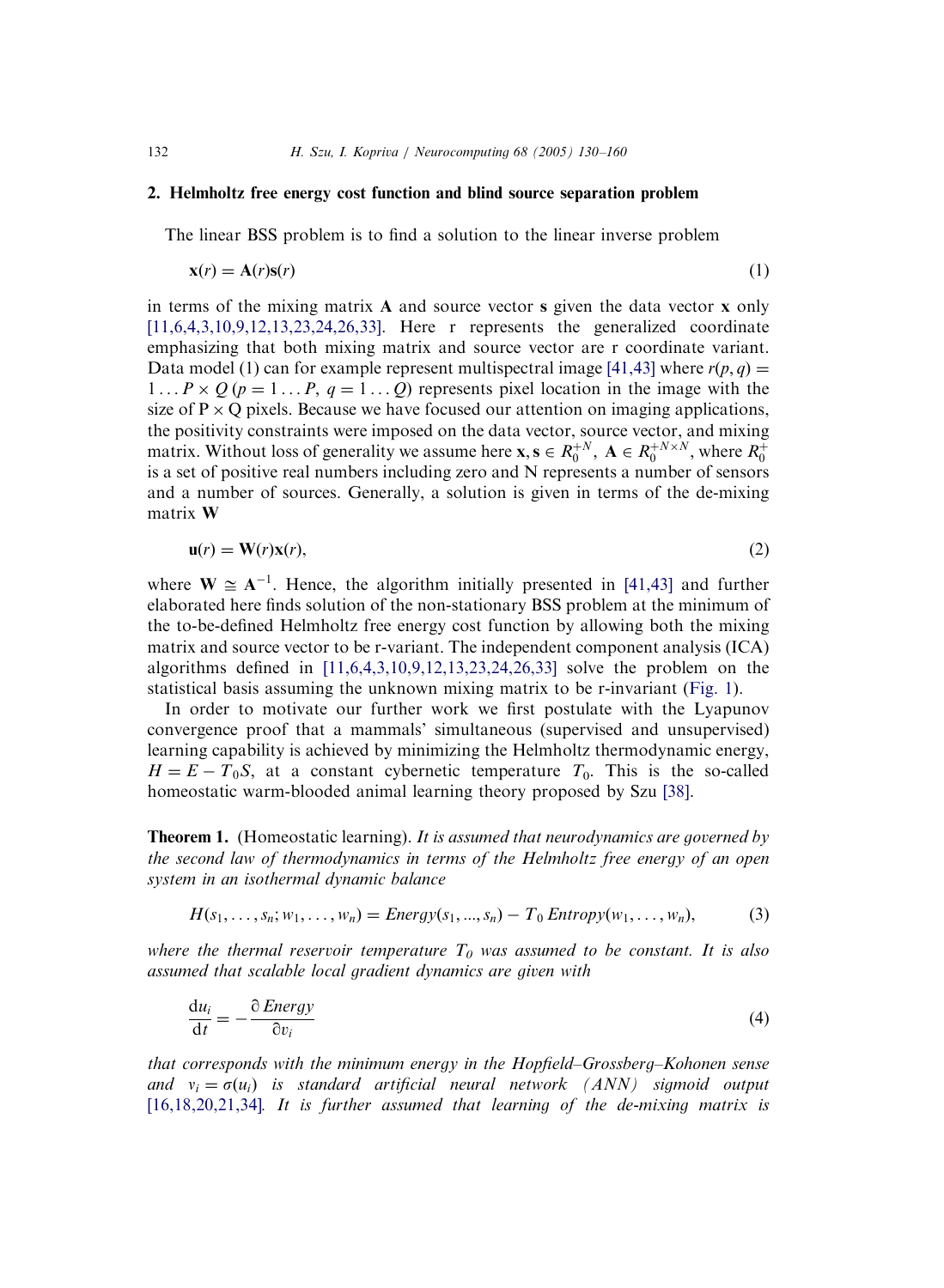#### 2. Helmholtz free energy cost function and blind source separation problem

The linear BSS problem is to find a solution to the linear inverse problem

$$
\mathbf{x}(r) = \mathbf{A}(r)\mathbf{s}(r) \tag{1}
$$

in terms of the mixing matrix  $A$  and source vector s given the data vector  $x$  only [\[11,6,4,3,10,9,12,13,23,24,26,33\]](#page-28-0). Here r represents the generalized coordinate emphasizing that both mixing matrix and source vector are r coordinate variant. Data model (1) can for example represent multispectral image [\[41,43\]](#page-29-0) where  $r(p, q) =$  $1 \ldots P \times Q$  ( $p = 1 \ldots P$ ,  $q = 1 \ldots Q$ ) represents pixel location in the image with the size of  $P \times Q$  pixels. Because we have focused our attention on imaging applications, the positivity constraints were imposed on the data vector, source vector, and mixing matrix. Without loss of generality we assume here  $x, s \in R_0^{+N}$ ,  $A \in R_0^{+N \times N}$ , where  $R_0^+$ is a set of positive real numbers including zero and N represents a number of sensors and a number of sources. Generally, a solution is given in terms of the de-mixing matrix W

$$
\mathbf{u}(r) = \mathbf{W}(r)\mathbf{x}(r),\tag{2}
$$

where  $W \cong A^{-1}$ . Hence, the algorithm initially presented in [\[41,43\]](#page-29-0) and further elaborated here finds solution of the non-stationary BSS problem at the minimum of the to-be-defined Helmholtz free energy cost function by allowing both the mixing matrix and source vector to be r-variant. The independent component analysis (ICA) algorithms defined in [\[11,6,4,3,10,9,12,13,23,24,26,33\]](#page-28-0) solve the problem on the statistical basis assuming the unknown mixing matrix to be r-invariant [\(Fig. 1\)](#page-3-0).

In order to motivate our further work we first postulate with the Lyapunov convergence proof that a mammals' simultaneous (supervised and unsupervised) learning capability is achieved by minimizing the Helmholtz thermodynamic energy,  $H = E - T_0 S$ , at a constant cybernetic temperature  $T_0$ . This is the so-called homeostatic warm-blooded animal learning theory proposed by Szu [\[38\].](#page-29-0)

**Theorem 1.** (Homeostatic learning). It is assumed that neurodynamics are governed by the second law of thermodynamics in terms of the Helmholtz free energy of an open system in an isothermal dynamic balance

$$
H(s_1, ..., s_n; w_1, ..., w_n) = \text{Energy}(s_1, ..., s_n) - T_0 \text{Entropy}(w_1, ..., w_n),
$$
 (3)

where the thermal reservoir temperature  $T_0$  was assumed to be constant. It is also assumed that scalable local gradient dynamics are given with

$$
\frac{\mathrm{d}u_i}{\mathrm{d}t} = -\frac{\partial \text{Energy}}{\partial v_i} \tag{4}
$$

that corresponds with the minimum energy in the Hopfield–Grossberg–Kohonen sense and  $v_i = \sigma(u_i)$  is standard artificial neural network (ANN) sigmoid output  $[16, 18, 20, 21, 34]$ . It is further assumed that learning of the de-mixing matrix is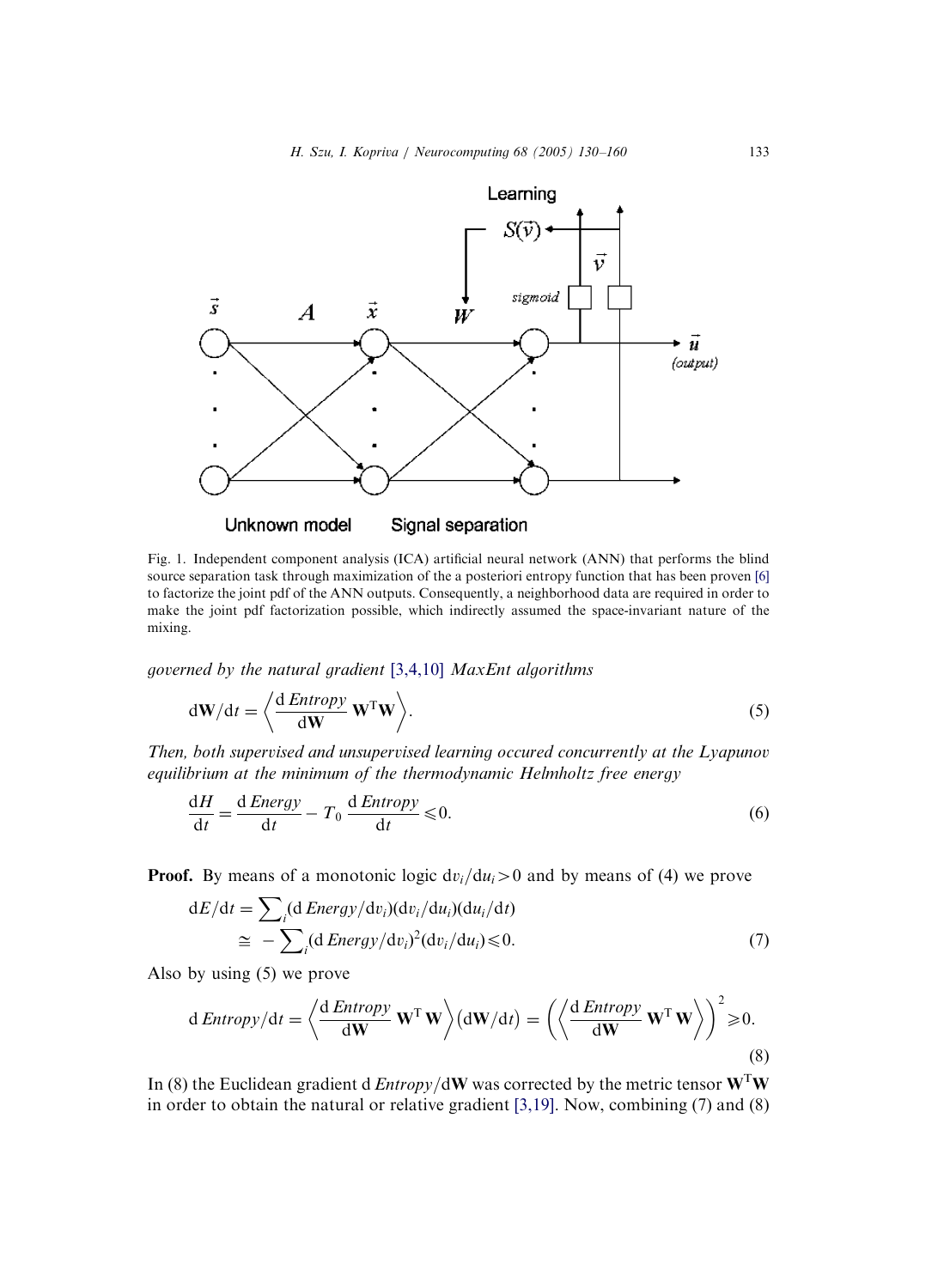<span id="page-3-0"></span>

Fig. 1. Independent component analysis (ICA) artificial neural network (ANN) that performs the blind source separation task through maximization of the a posteriori entropy function that has been proven [\[6\]](#page-28-0) to factorize the joint pdf of the ANN outputs. Consequently, a neighborhood data are required in order to make the joint pdf factorization possible, which indirectly assumed the space-invariant nature of the mixing.

governed by the natural gradient [\[3,4,10\]](#page-28-0) MaxEnt algorithms

$$
d\mathbf{W}/dt = \left\langle \frac{d\text{Entropy}}{d\mathbf{W}} \mathbf{W}^{\mathrm{T}} \mathbf{W} \right\rangle. \tag{5}
$$

Then, both supervised and unsupervised learning occured concurrently at the Lyapunov equilibrium at the minimum of the thermodynamic Helmholtz free energy

$$
\frac{dH}{dt} = \frac{d \text{Energy}}{dt} - T_0 \frac{d \text{Entropy}}{dt} \le 0.
$$
\n(6)

**Proof.** By means of a monotonic logic  $dv_i/du_i>0$  and by means of (4) we prove

$$
dE/dt = \sum_{i} (d \text{Energy}/dv_{i}) (dv_{i}/du_{i}) (du_{i}/dt)
$$
  
\n
$$
\approx -\sum_{i} (d \text{Energy}/dv_{i})^{2} (dv_{i}/du_{i}) \leq 0.
$$
\n(7)

Also by using (5) we prove

$$
d\text{ Entropy}/dt = \left\langle \frac{d\text{ Entropy}}{d\mathbf{W}} \mathbf{W}^{\mathrm{T}} \mathbf{W} \right\rangle (d\mathbf{W}/dt) = \left( \left\langle \frac{d\text{ Entropy}}{d\mathbf{W}} \mathbf{W}^{\mathrm{T}} \mathbf{W} \right\rangle \right)^{2} \geq 0.
$$
\n(8)

In (8) the Euclidean gradient d *Entropy*/dW was corrected by the metric tensor  $W<sup>T</sup>W$ in order to obtain the natural or relative gradient [\[3,19\].](#page-28-0) Now, combining (7) and (8)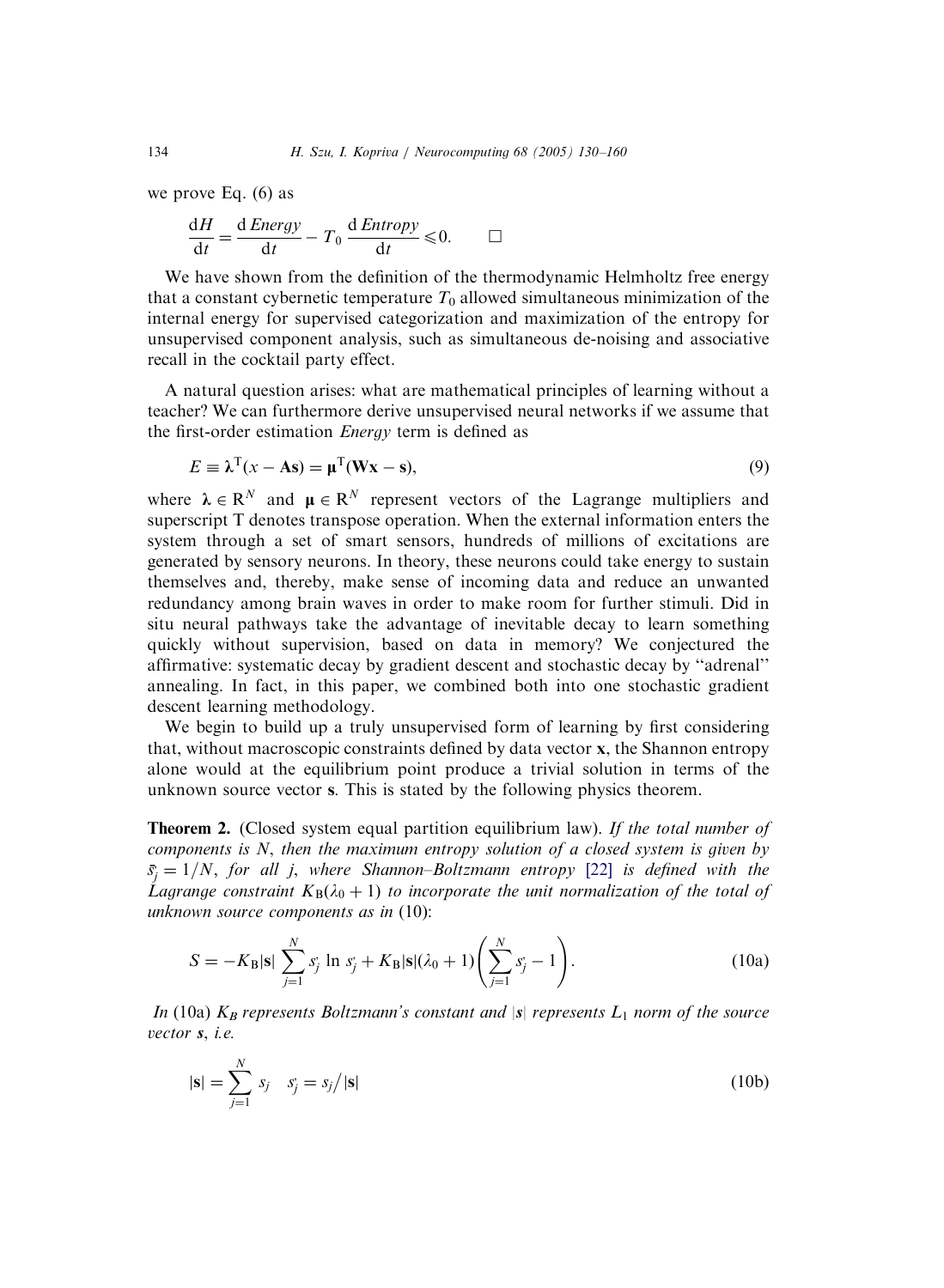we prove Eq. (6) as

$$
\frac{dH}{dt} = \frac{d \text{ Energy}}{dt} - T_0 \frac{d \text{Entropy}}{dt} \le 0. \qquad \Box
$$

We have shown from the definition of the thermodynamic Helmholtz free energy that a constant cybernetic temperature  $T_0$  allowed simultaneous minimization of the internal energy for supervised categorization and maximization of the entropy for unsupervised component analysis, such as simultaneous de-noising and associative recall in the cocktail party effect.

A natural question arises: what are mathematical principles of learning without a teacher? We can furthermore derive unsupervised neural networks if we assume that the first-order estimation *Energy* term is defined as

$$
E \equiv \lambda^{T}(x - As) = \mu^{T}(Wx - s),
$$
\n(9)

where  $\lambda \in \mathbb{R}^N$  and  $\mu \in \mathbb{R}^N$  represent vectors of the Lagrange multipliers and superscript T denotes transpose operation. When the external information enters the system through a set of smart sensors, hundreds of millions of excitations are generated by sensory neurons. In theory, these neurons could take energy to sustain themselves and, thereby, make sense of incoming data and reduce an unwanted redundancy among brain waves in order to make room for further stimuli. Did in situ neural pathways take the advantage of inevitable decay to learn something quickly without supervision, based on data in memory? We conjectured the affirmative: systematic decay by gradient descent and stochastic decay by ''adrenal'' annealing. In fact, in this paper, we combined both into one stochastic gradient descent learning methodology.

We begin to build up a truly unsupervised form of learning by first considering that, without macroscopic constraints defined by data vector x, the Shannon entropy alone would at the equilibrium point produce a trivial solution in terms of the unknown source vector s: This is stated by the following physics theorem.

**Theorem 2.** (Closed system equal partition equilibrium law). If the total number of components is  $N$ , then the maximum entropy solution of a closed system is given by  $\bar{s}_j = 1/N$ , for all j, where Shannon–Boltzmann entropy [\[22\]](#page-29-0) is defined with the Lagrange constraint  $K_B(\lambda_0 + 1)$  to incorporate the unit normalization of the total of unknown source components as in (10):

$$
S = -K_{\rm B}|\mathbf{s}| \sum_{j=1}^{N} s_j \ln s_j + K_{\rm B}|\mathbf{s}|(\lambda_0 + 1) \left(\sum_{j=1}^{N} s_j - 1\right). \tag{10a}
$$

In (10a)  $K_B$  represents Boltzmann's constant and  $|s|$  represents  $L_1$  norm of the source vector s, i.e.

$$
|\mathbf{s}| = \sum_{j=1}^{N} s_j \quad s_j = s_j / |\mathbf{s}| \tag{10b}
$$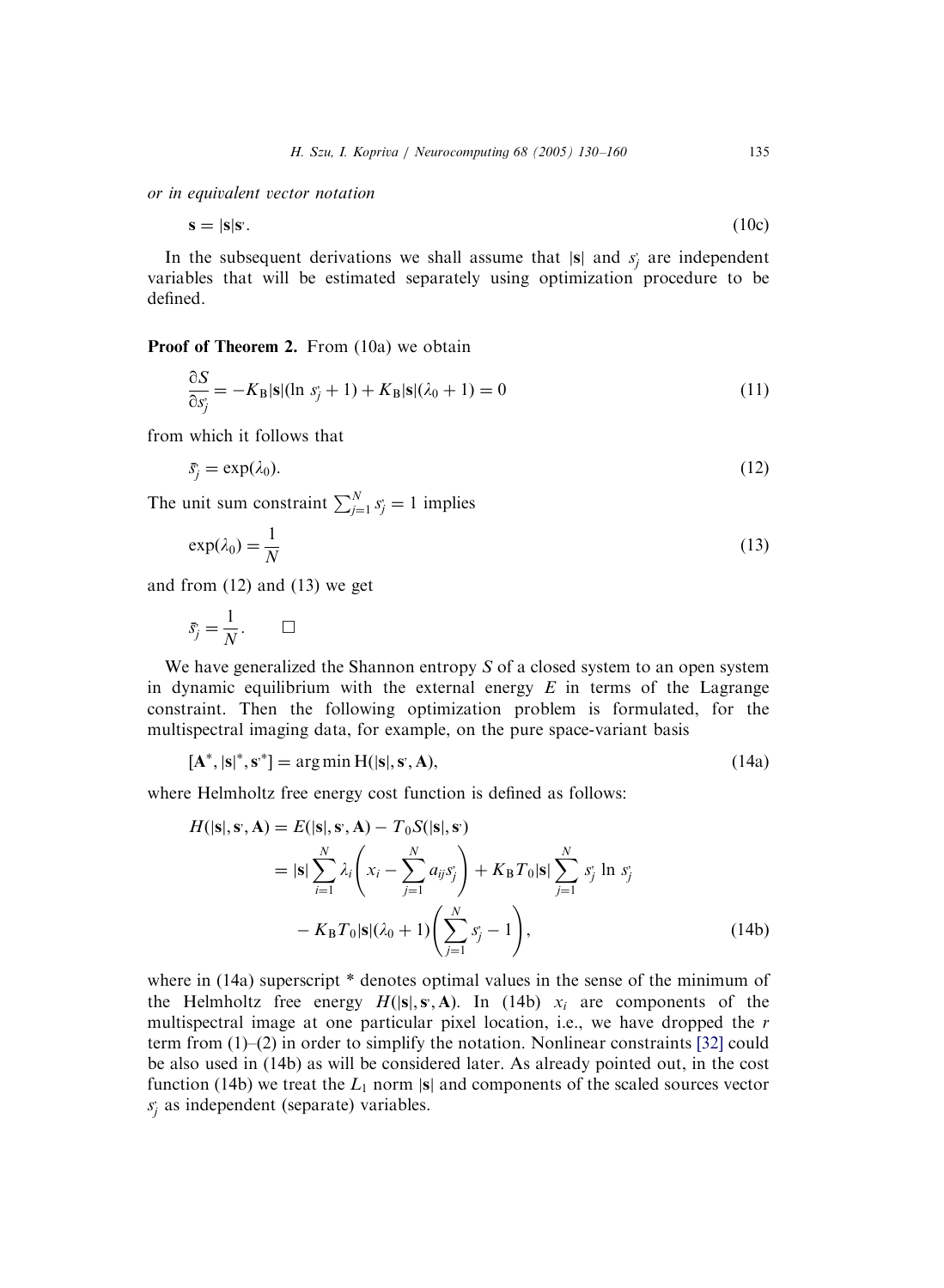or in equivalent vector notation

$$
\mathbf{s} = |\mathbf{s}|\mathbf{s}.\tag{10c}
$$

In the subsequent derivations we shall assume that  $|s|$  and  $s_j$  are independent variables that will be estimated separately using optimization procedure to be defined.

Proof of Theorem 2. From (10a) we obtain

$$
\frac{\partial S}{\partial s_j} = -K_\mathbf{B} |\mathbf{s}| (\ln s_j + 1) + K_\mathbf{B} |\mathbf{s}| (\lambda_0 + 1) = 0 \tag{11}
$$

from which it follows that

$$
\bar{s}_j = \exp(\lambda_0). \tag{12}
$$

The unit sum constraint  $\sum_{j=1}^{N} s_j = 1$  implies

$$
\exp(\lambda_0) = \frac{1}{N} \tag{13}
$$

and from (12) and (13) we get

$$
\bar{s}_j = \frac{1}{N}.\qquad \Box
$$

We have generalized the Shannon entropy S of a closed system to an open system in dynamic equilibrium with the external energy  $E$  in terms of the Lagrange constraint. Then the following optimization problem is formulated, for the multispectral imaging data, for example, on the pure space-variant basis

$$
[\mathbf{A}^*, |\mathbf{s}|^*, \mathbf{s}^*] = \arg\min \mathbf{H}(|\mathbf{s}|, \mathbf{s}, \mathbf{A}),\tag{14a}
$$

where Helmholtz free energy cost function is defined as follows:

$$
H(|\mathbf{s}|, \mathbf{s}, \mathbf{A}) = E(|\mathbf{s}|, \mathbf{s}, \mathbf{A}) - T_0 S(|\mathbf{s}|, \mathbf{s})
$$
  
\n
$$
= |\mathbf{s}| \sum_{i=1}^{N} \lambda_i \left( x_i - \sum_{j=1}^{N} a_{ij} s_j \right) + K_\mathbf{B} T_0 |\mathbf{s}| \sum_{j=1}^{N} s_j \ln s_j
$$
  
\n
$$
- K_\mathbf{B} T_0 |\mathbf{s}| (\lambda_0 + 1) \left( \sum_{j=1}^{N} s_j - 1 \right), \tag{14b}
$$

where in (14a) superscript  $*$  denotes optimal values in the sense of the minimum of the Helmholtz free energy  $H(|s|, s, A)$ . In (14b)  $x_i$  are components of the multispectral image at one particular pixel location, i.e., we have dropped the r term from (1)–(2) in order to simplify the notation. Nonlinear constraints [\[32\]](#page-29-0) could be also used in (14b) as will be considered later. As already pointed out, in the cost function (14b) we treat the  $L_1$  norm |s| and components of the scaled sources vector  $s_j$  as independent (separate) variables.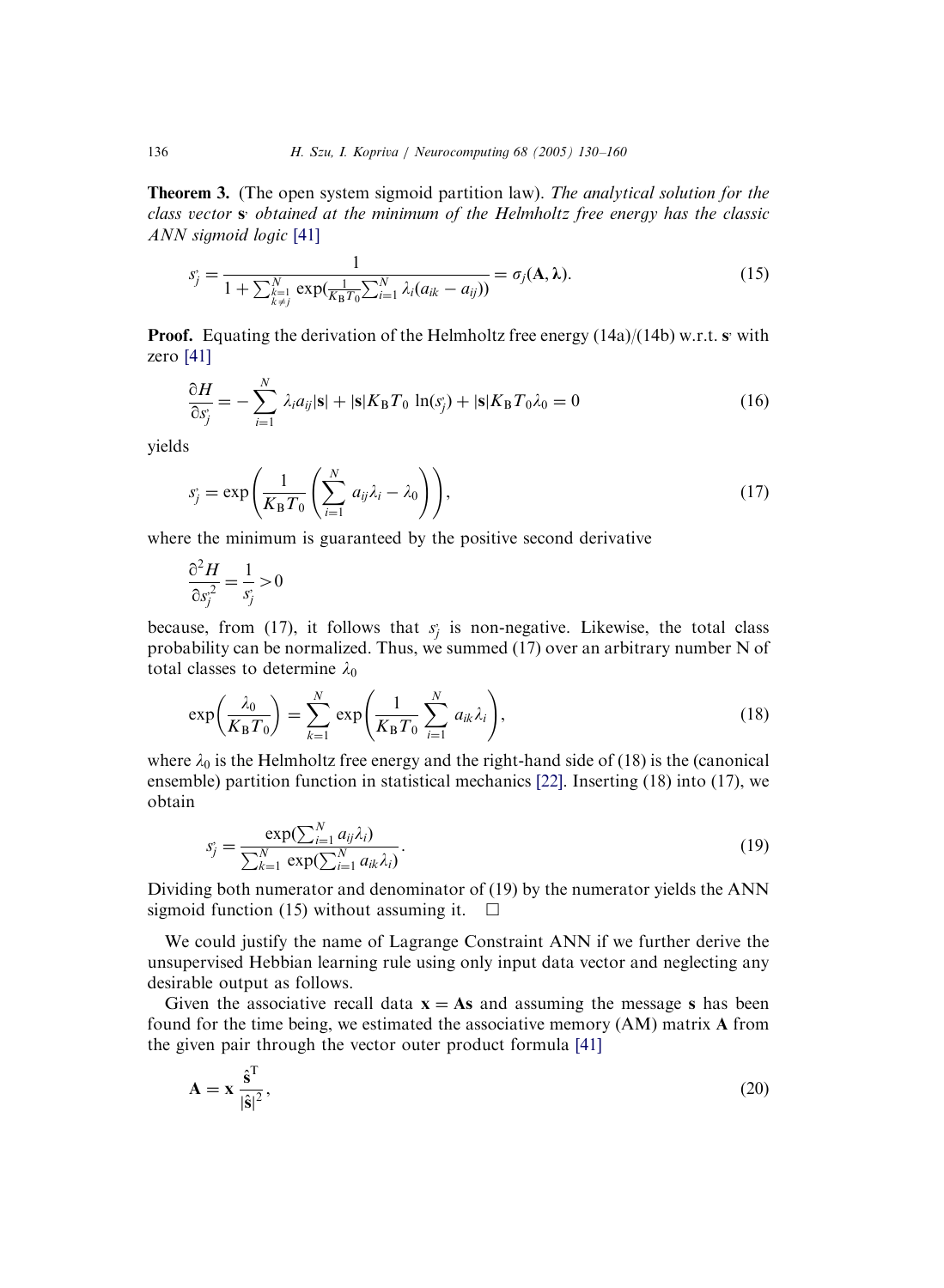Theorem 3. (The open system sigmoid partition law). The analytical solution for the class vector s; obtained at the minimum of the Helmholtz free energy has the classic ANN sigmoid logic [\[41\]](#page-29-0)

$$
s_j = \frac{1}{1 + \sum_{\substack{k=1\\k \neq j}}^N \exp(\frac{1}{K_B T_0} \sum_{i=1}^N \lambda_i (a_{ik} - a_{ij}))} = \sigma_j(\mathbf{A}, \lambda). \tag{15}
$$

**Proof.** Equating the derivation of the Helmholtz free energy  $(14a)/(14b)$  w.r.t. sy with zero [\[41\]](#page-29-0)

$$
\frac{\partial H}{\partial s_j^*} = -\sum_{i=1}^N \lambda_i a_{ij} |\mathbf{s}| + |\mathbf{s}| K_\mathbf{B} T_0 \ln(s_j^*) + |\mathbf{s}| K_\mathbf{B} T_0 \lambda_0 = 0 \tag{16}
$$

yields

$$
s_j = \exp\left(\frac{1}{K_B T_0} \left(\sum_{i=1}^N a_{ij} \lambda_i - \lambda_0\right)\right),\tag{17}
$$

where the minimum is guaranteed by the positive second derivative

$$
\frac{\partial^2 H}{\partial s_j^2} = \frac{1}{s_j} > 0
$$

because, from (17), it follows that  $s_j$  is non-negative. Likewise, the total class probability can be normalized. Thus, we summed (17) over an arbitrary number N of total classes to determine  $\lambda_0$ 

$$
\exp\left(\frac{\lambda_0}{K_\text{B}T_0}\right) = \sum_{k=1}^N \exp\left(\frac{1}{K_\text{B}T_0} \sum_{i=1}^N a_{ik} \lambda_i\right),\tag{18}
$$

where  $\lambda_0$  is the Helmholtz free energy and the right-hand side of (18) is the (canonical ensemble) partition function in statistical mechanics [\[22\].](#page-29-0) Inserting (18) into (17), we obtain

$$
s_j = \frac{\exp(\sum_{i=1}^N a_{ij} \lambda_i)}{\sum_{k=1}^N \exp(\sum_{i=1}^N a_{ik} \lambda_i)}.
$$
 (19)

Dividing both numerator and denominator of (19) by the numerator yields the ANN sigmoid function (15) without assuming it.  $\Box$ 

We could justify the name of Lagrange Constraint ANN if we further derive the unsupervised Hebbian learning rule using only input data vector and neglecting any desirable output as follows.

Given the associative recall data  $x = As$  and assuming the message s has been found for the time being, we estimated the associative memory (AM) matrix A from the given pair through the vector outer product formula [\[41\]](#page-29-0)

$$
\mathbf{A} = \mathbf{x} \frac{\hat{\mathbf{s}}^{\mathrm{T}}}{|\hat{\mathbf{s}}|^2},\tag{20}
$$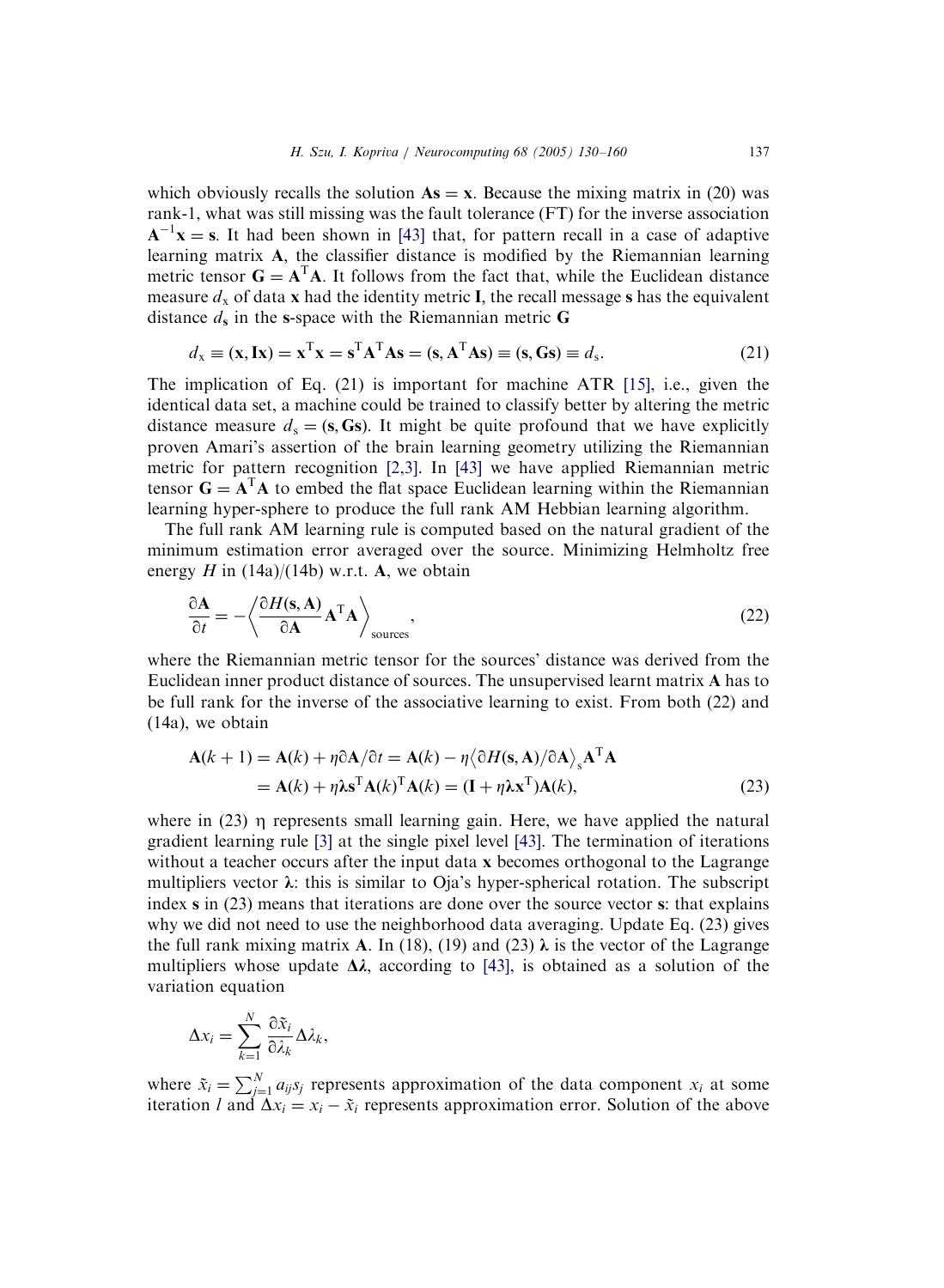which obviously recalls the solution  $As = x$ . Because the mixing matrix in (20) was rank-1, what was still missing was the fault tolerance (FT) for the inverse association  $A^{-1}x = s$ . It had been shown in [\[43\]](#page-29-0) that, for pattern recall in a case of adaptive learning matrix A; the classifier distance is modified by the Riemannian learning metric tensor  $G = A<sup>T</sup>A$ . It follows from the fact that, while the Euclidean distance measure  $d_x$  of data x had the identity metric I, the recall message s has the equivalent distance  $d_s$  in the s-space with the Riemannian metric G

$$
d_{x} \equiv (\mathbf{x}, \mathbf{I}\mathbf{x}) = \mathbf{x}^{\mathrm{T}}\mathbf{x} = \mathbf{s}^{\mathrm{T}}\mathbf{A}^{\mathrm{T}}\mathbf{A}\mathbf{s} = (\mathbf{s}, \mathbf{A}^{\mathrm{T}}\mathbf{A}\mathbf{s}) \equiv (\mathbf{s}, \mathbf{G}\mathbf{s}) \equiv d_{s}.
$$
 (21)

The implication of Eq. (21) is important for machine ATR [\[15\]](#page-28-0), i.e., given the identical data set, a machine could be trained to classify better by altering the metric distance measure  $d_s = (s, Ss)$ . It might be quite profound that we have explicitly proven Amari's assertion of the brain learning geometry utilizing the Riemannian metric for pattern recognition [\[2,3\]](#page-28-0). In [\[43\]](#page-29-0) we have applied Riemannian metric tensor  $G = A<sup>T</sup>A$  to embed the flat space Euclidean learning within the Riemannian learning hyper-sphere to produce the full rank AM Hebbian learning algorithm.

The full rank AM learning rule is computed based on the natural gradient of the minimum estimation error averaged over the source. Minimizing Helmholtz free energy H in  $(14a)/(14b)$  w.r.t. A, we obtain

$$
\frac{\partial \mathbf{A}}{\partial t} = -\left\langle \frac{\partial H(\mathbf{s}, \mathbf{A})}{\partial \mathbf{A}} \mathbf{A}^{\mathrm{T}} \mathbf{A} \right\rangle_{\text{sources}},\tag{22}
$$

where the Riemannian metric tensor for the sources' distance was derived from the Euclidean inner product distance of sources. The unsupervised learnt matrix A has to be full rank for the inverse of the associative learning to exist. From both (22) and (14a), we obtain

$$
\mathbf{A}(k+1) = \mathbf{A}(k) + \eta \partial \mathbf{A}/\partial t = \mathbf{A}(k) - \eta \langle \partial H(\mathbf{s}, \mathbf{A})/\partial \mathbf{A} \rangle_{\mathbf{s}} \mathbf{A}^{\mathrm{T}} \mathbf{A}
$$
  
=  $\mathbf{A}(k) + \eta \mathbf{\hat{s}}^{\mathrm{T}} \mathbf{A}(k)^{\mathrm{T}} \mathbf{A}(k) = (\mathbf{I} + \eta \mathbf{\hat{s}}^{\mathrm{T}} \mathbf{A}(k)),$  (23)

where in  $(23)$   $\eta$  represents small learning gain. Here, we have applied the natural gradient learning rule [\[3\]](#page-28-0) at the single pixel level [\[43\]](#page-29-0). The termination of iterations without a teacher occurs after the input data x becomes orthogonal to the Lagrange multipliers vector  $\lambda$ : this is similar to Oja's hyper-spherical rotation. The subscript index s in (23) means that iterations are done over the source vector s: that explains why we did not need to use the neighborhood data averaging. Update Eq. (23) gives the full rank mixing matrix A. In (18), (19) and (23)  $\lambda$  is the vector of the Lagrange multipliers whose update  $\Delta \lambda$ , according to [\[43\]](#page-29-0), is obtained as a solution of the variation equation

$$
\Delta x_i = \sum_{k=1}^N \frac{\partial \tilde{x}_i}{\partial \lambda_k} \Delta \lambda_k,
$$

where  $\tilde{x}_i = \sum_{j=1}^{N} a_{ij} s_j$  represents approximation of the data component  $x_i$  at some iteration l and  $\Delta x_i = x_i - \tilde{x}_i$  represents approximation error. Solution of the above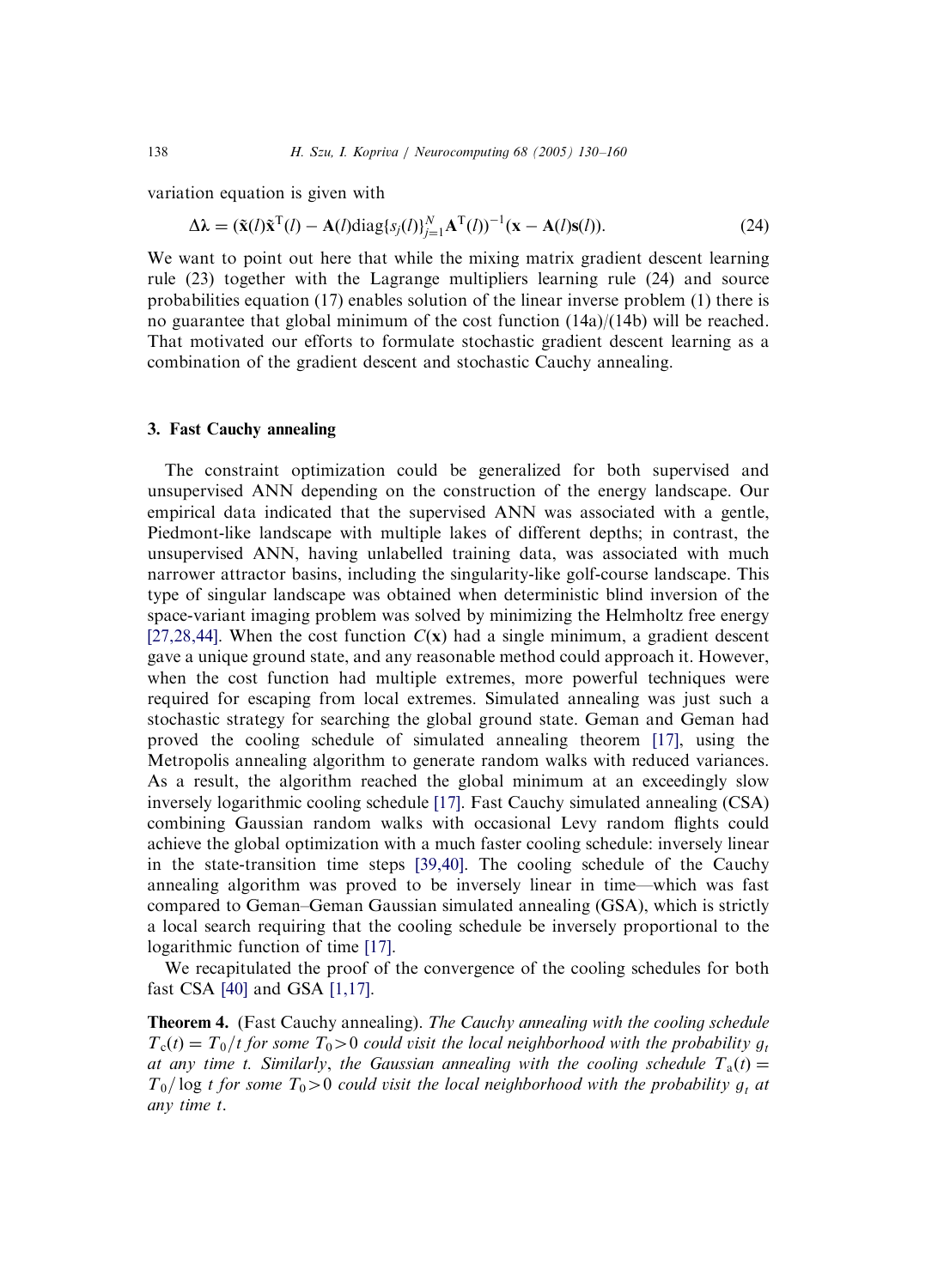variation equation is given with

$$
\Delta \lambda = (\tilde{\mathbf{x}}(l)\tilde{\mathbf{x}}^{T}(l) - \mathbf{A}(l)\text{diag}\{s_{j}(l)\}_{j=1}^{N} \mathbf{A}^{T}(l))^{-1}(\mathbf{x} - \mathbf{A}(l)\mathbf{s}(l)).
$$
\n(24)

We want to point out here that while the mixing matrix gradient descent learning rule (23) together with the Lagrange multipliers learning rule (24) and source probabilities equation (17) enables solution of the linear inverse problem (1) there is no guarantee that global minimum of the cost function  $(14a)/(14b)$  will be reached. That motivated our efforts to formulate stochastic gradient descent learning as a combination of the gradient descent and stochastic Cauchy annealing.

### 3. Fast Cauchy annealing

The constraint optimization could be generalized for both supervised and unsupervised ANN depending on the construction of the energy landscape. Our empirical data indicated that the supervised ANN was associated with a gentle, Piedmont-like landscape with multiple lakes of different depths; in contrast, the unsupervised ANN, having unlabelled training data, was associated with much narrower attractor basins, including the singularity-like golf-course landscape. This type of singular landscape was obtained when deterministic blind inversion of the space-variant imaging problem was solved by minimizing the Helmholtz free energy [\[27,28,44\].](#page-29-0) When the cost function  $C(x)$  had a single minimum, a gradient descent gave a unique ground state, and any reasonable method could approach it. However, when the cost function had multiple extremes, more powerful techniques were required for escaping from local extremes. Simulated annealing was just such a stochastic strategy for searching the global ground state. Geman and Geman had proved the cooling schedule of simulated annealing theorem [\[17\],](#page-28-0) using the Metropolis annealing algorithm to generate random walks with reduced variances. As a result, the algorithm reached the global minimum at an exceedingly slow inversely logarithmic cooling schedule [\[17\].](#page-28-0) Fast Cauchy simulated annealing (CSA) combining Gaussian random walks with occasional Levy random flights could achieve the global optimization with a much faster cooling schedule: inversely linear in the state-transition time steps [\[39,40\].](#page-29-0) The cooling schedule of the Cauchy annealing algorithm was proved to be inversely linear in time—which was fast compared to Geman–Geman Gaussian simulated annealing (GSA), which is strictly a local search requiring that the cooling schedule be inversely proportional to the logarithmic function of time [\[17\].](#page-28-0)

We recapitulated the proof of the convergence of the cooling schedules for both fast CSA [\[40\]](#page-29-0) and GSA [\[1,17\]](#page-28-0).

**Theorem 4.** (Fast Cauchy annealing). The Cauchy annealing with the cooling schedule  $T_c(t) = T_0/t$  for some  $T_0 > 0$  could visit the local neighborhood with the probability g, at any time t. Similarly, the Gaussian annealing with the cooling schedule  $T_a(t) =$  $T_0$ /log t for some  $T_0>0$  could visit the local neighborhood with the probability  $g_t$  at any time t.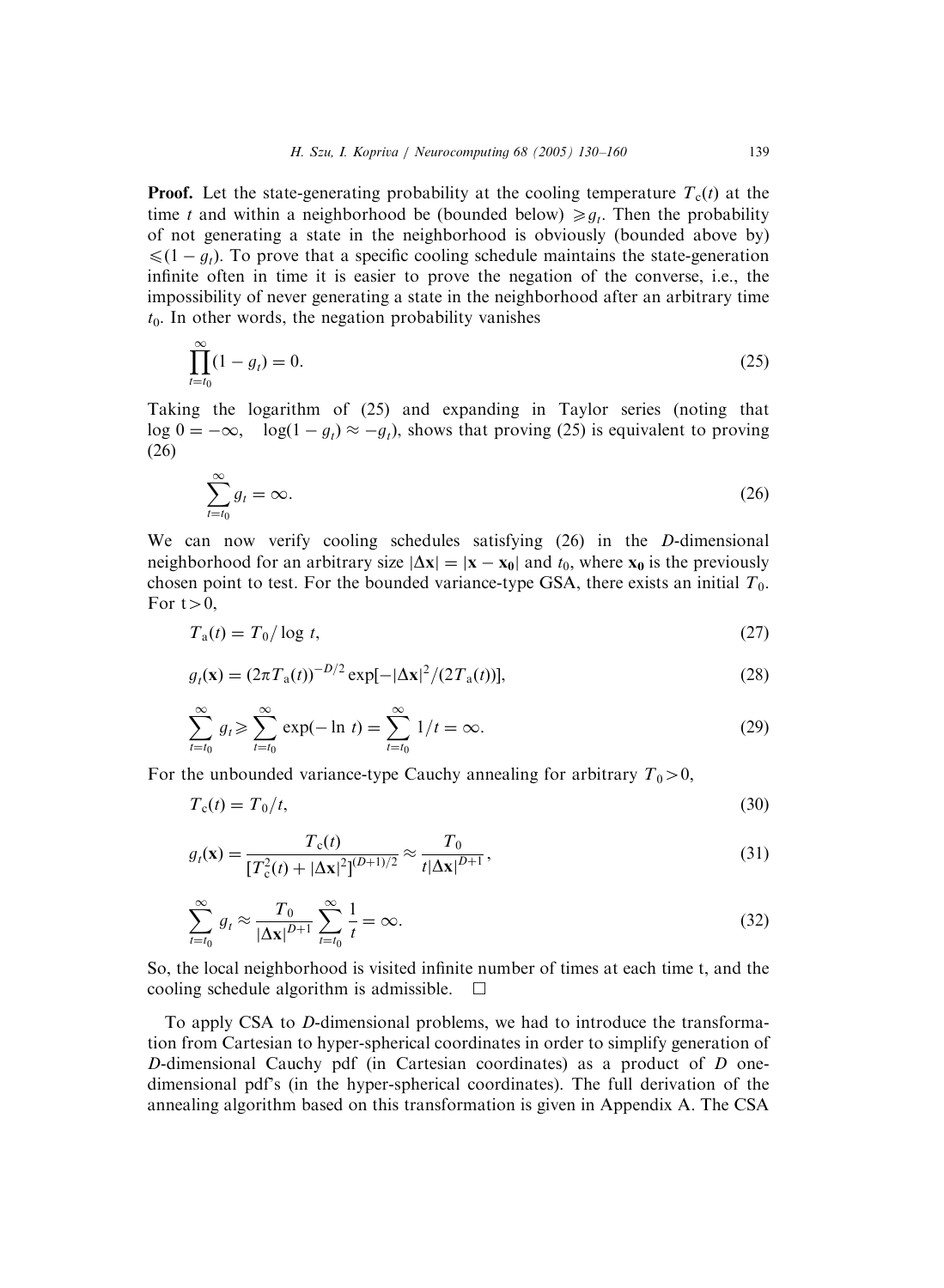**Proof.** Let the state-generating probability at the cooling temperature  $T_c(t)$  at the time t and within a neighborhood be (bounded below)  $\geq a_i$ . Then the probability of not generating a state in the neighborhood is obviously (bounded above by)  $\leq (1 - g_t)$ . To prove that a specific cooling schedule maintains the state-generation infinite often in time it is easier to prove the negation of the converse, i.e., the impossibility of never generating a state in the neighborhood after an arbitrary time  $t<sub>0</sub>$ . In other words, the negation probability vanishes

$$
\prod_{t=t_0}^{\infty} (1 - g_t) = 0.
$$
\n(25)

Taking the logarithm of (25) and expanding in Taylor series (noting that log  $0 = -\infty$ ,  $\log(1 - g_t) \approx -g_t$ , shows that proving (25) is equivalent to proving (26)

$$
\sum_{t=t_0}^{\infty} g_t = \infty.
$$
\n(26)

We can now verify cooling schedules satisfying (26) in the D-dimensional neighborhood for an arbitrary size  $|\Delta x| = |x - x_0|$  and  $t_0$ , where  $x_0$  is the previously chosen point to test. For the bounded variance-type GSA, there exists an initial  $T_0$ . For  $t>0$ ,

$$
T_a(t) = T_0 / \log t,\tag{27}
$$

$$
g_t(\mathbf{x}) = (2\pi T_a(t))^{-D/2} \exp[-|\Delta \mathbf{x}|^2/(2T_a(t))],\tag{28}
$$

$$
\sum_{t=t_0}^{\infty} g_t \ge \sum_{t=t_0}^{\infty} \exp(-\ln t) = \sum_{t=t_0}^{\infty} 1/t = \infty.
$$
 (29)

For the unbounded variance-type Cauchy annealing for arbitrary  $T_0>0$ ,

$$
T_c(t) = T_0/t,\tag{30}
$$

$$
g_t(\mathbf{x}) = \frac{T_c(t)}{[T_c^2(t) + |\Delta \mathbf{x}|^2]^{(D+1)/2}} \approx \frac{T_0}{t|\Delta \mathbf{x}|^{D+1}},
$$
\n(31)

$$
\sum_{t=t_0}^{\infty} g_t \approx \frac{T_0}{|\Delta \mathbf{x}|^{D+1}} \sum_{t=t_0}^{\infty} \frac{1}{t} = \infty.
$$
\n(32)

So, the local neighborhood is visited infinite number of times at each time t, and the cooling schedule algorithm is admissible.  $\Box$ 

To apply CSA to D-dimensional problems, we had to introduce the transformation from Cartesian to hyper-spherical coordinates in order to simplify generation of D-dimensional Cauchy pdf (in Cartesian coordinates) as a product of  $D$  onedimensional pdf's (in the hyper-spherical coordinates). The full derivation of the annealing algorithm based on this transformation is given in Appendix A. The CSA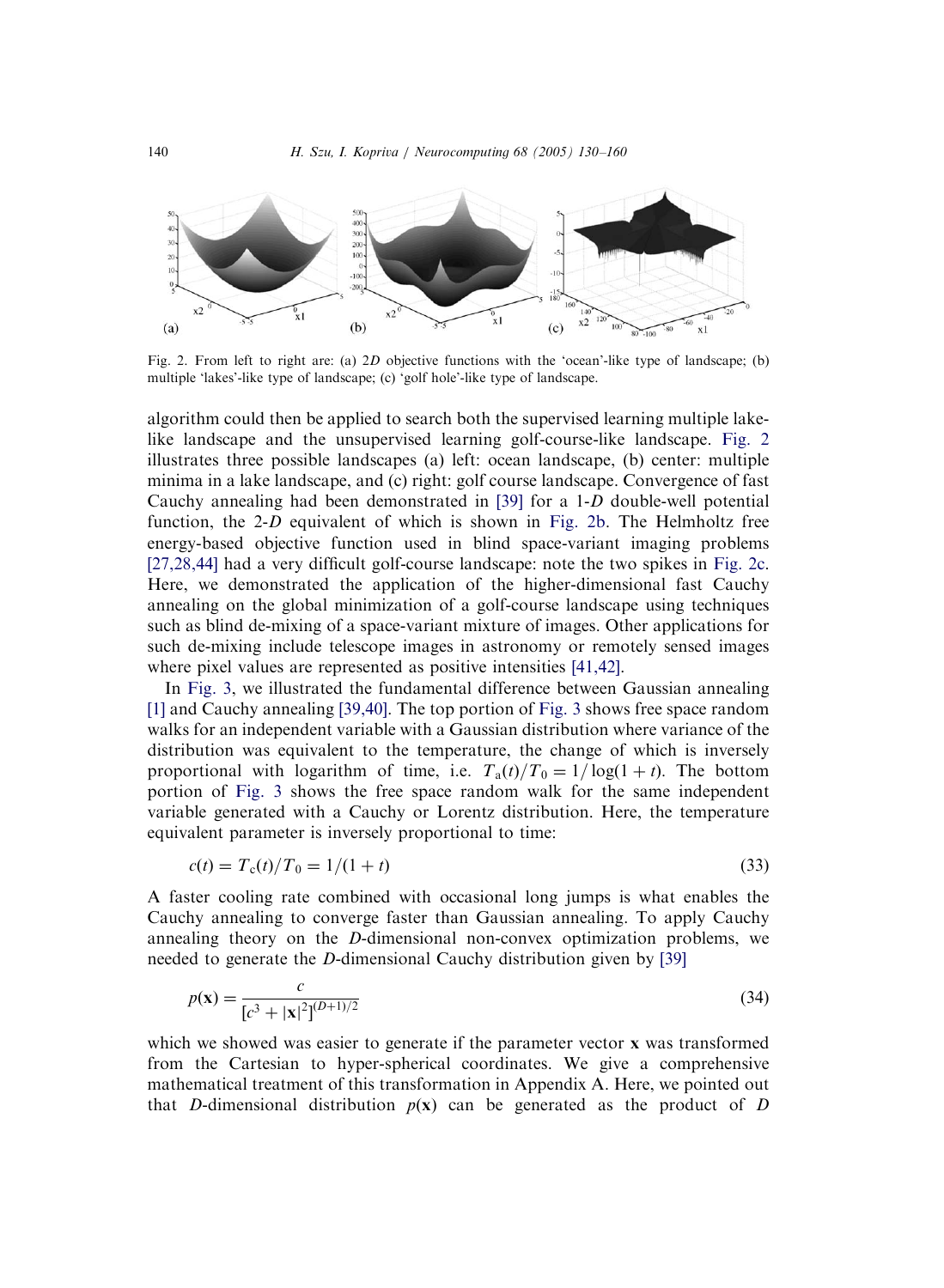<span id="page-10-0"></span>

Fig. 2. From left to right are: (a) 2D objective functions with the 'ocean'-like type of landscape; (b) multiple 'lakes'-like type of landscape; (c) 'golf hole'-like type of landscape.

algorithm could then be applied to search both the supervised learning multiple lakelike landscape and the unsupervised learning golf-course-like landscape. Fig. 2 illustrates three possible landscapes (a) left: ocean landscape, (b) center: multiple minima in a lake landscape, and (c) right: golf course landscape. Convergence of fast Cauchy annealing had been demonstrated in [\[39\]](#page-29-0) for a 1-D double-well potential function, the 2-D equivalent of which is shown in Fig. 2b. The Helmholtz free energy-based objective function used in blind space-variant imaging problems [\[27,28,44\]](#page-29-0) had a very difficult golf-course landscape: note the two spikes in Fig. 2c. Here, we demonstrated the application of the higher-dimensional fast Cauchy annealing on the global minimization of a golf-course landscape using techniques such as blind de-mixing of a space-variant mixture of images. Other applications for such de-mixing include telescope images in astronomy or remotely sensed images where pixel values are represented as positive intensities [\[41,42\].](#page-29-0)

In [Fig. 3,](#page-11-0) we illustrated the fundamental difference between Gaussian annealing [\[1\]](#page-28-0) and Cauchy annealing [\[39,40\]](#page-29-0). The top portion of [Fig. 3](#page-11-0) shows free space random walks for an independent variable with a Gaussian distribution where variance of the distribution was equivalent to the temperature, the change of which is inversely proportional with logarithm of time, i.e.  $T_a(t)/T_0 = 1/\log(1 + t)$ . The bottom portion of [Fig. 3](#page-11-0) shows the free space random walk for the same independent variable generated with a Cauchy or Lorentz distribution. Here, the temperature equivalent parameter is inversely proportional to time:

$$
c(t) = T_c(t)/T_0 = 1/(1+t)
$$
\n(33)

A faster cooling rate combined with occasional long jumps is what enables the Cauchy annealing to converge faster than Gaussian annealing. To apply Cauchy annealing theory on the D-dimensional non-convex optimization problems, we needed to generate the D-dimensional Cauchy distribution given by [\[39\]](#page-29-0)

$$
p(\mathbf{x}) = \frac{c}{[c^3 + |\mathbf{x}|^2]^{(D+1)/2}}
$$
(34)

which we showed was easier to generate if the parameter vector **x** was transformed from the Cartesian to hyper-spherical coordinates. We give a comprehensive mathematical treatment of this transformation in Appendix A. Here, we pointed out that D-dimensional distribution  $p(x)$  can be generated as the product of D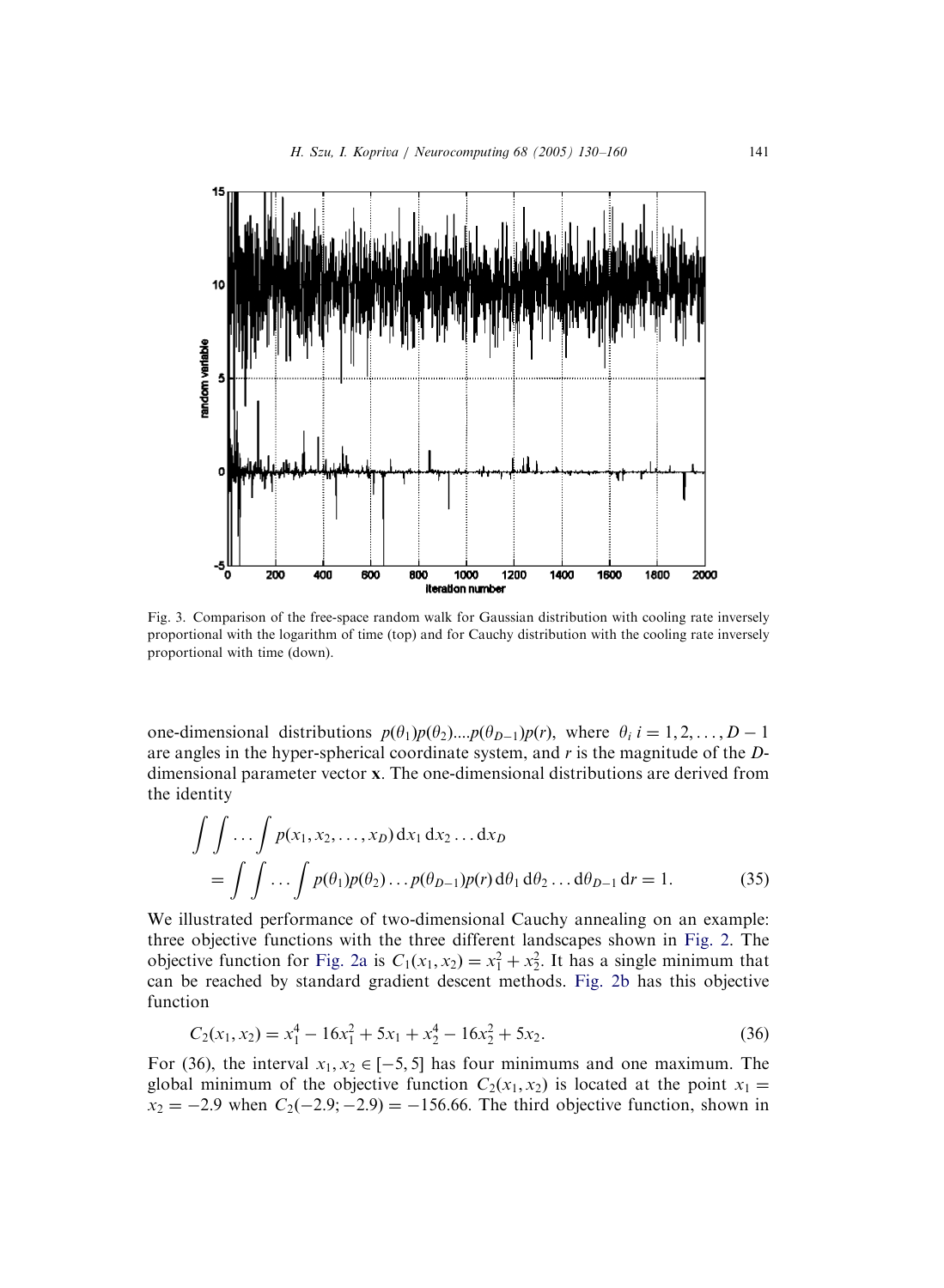<span id="page-11-0"></span>

Fig. 3. Comparison of the free-space random walk for Gaussian distribution with cooling rate inversely proportional with the logarithm of time (top) and for Cauchy distribution with the cooling rate inversely proportional with time (down).

one-dimensional distributions  $p(\theta_1)p(\theta_2)...p(\theta_{D-1})p(r)$ , where  $\theta_i$  i = 1, 2, ..., D – 1 are angles in the hyper-spherical coordinate system, and r is the magnitude of the Ddimensional parameter vector x: The one-dimensional distributions are derived from the identity

$$
\int \int \ldots \int p(x_1, x_2, \ldots, x_D) dx_1 dx_2 \ldots dx_D
$$
  
= 
$$
\int \int \ldots \int p(\theta_1) p(\theta_2) \ldots p(\theta_{D-1}) p(r) d\theta_1 d\theta_2 \ldots d\theta_{D-1} dr = 1.
$$
 (35)

We illustrated performance of two-dimensional Cauchy annealing on an example: three objective functions with the three different landscapes shown in [Fig. 2](#page-10-0). The objective function for [Fig. 2a](#page-10-0) is  $C_1(x_1, x_2) = x_1^2 + x_2^2$ . It has a single minimum that can be reached by standard gradient descent methods. [Fig. 2b](#page-10-0) has this objective function

$$
C_2(x_1, x_2) = x_1^4 - 16x_1^2 + 5x_1 + x_2^4 - 16x_2^2 + 5x_2.
$$
 (36)

For (36), the interval  $x_1, x_2 \in [-5, 5]$  has four minimums and one maximum. The global minimum of the objective function  $C_2(x_1, x_2)$  is located at the point  $x_1 =$  $x_2 = -2.9$  when  $C_2(-2.9; -2.9) = -156.66$ . The third objective function, shown in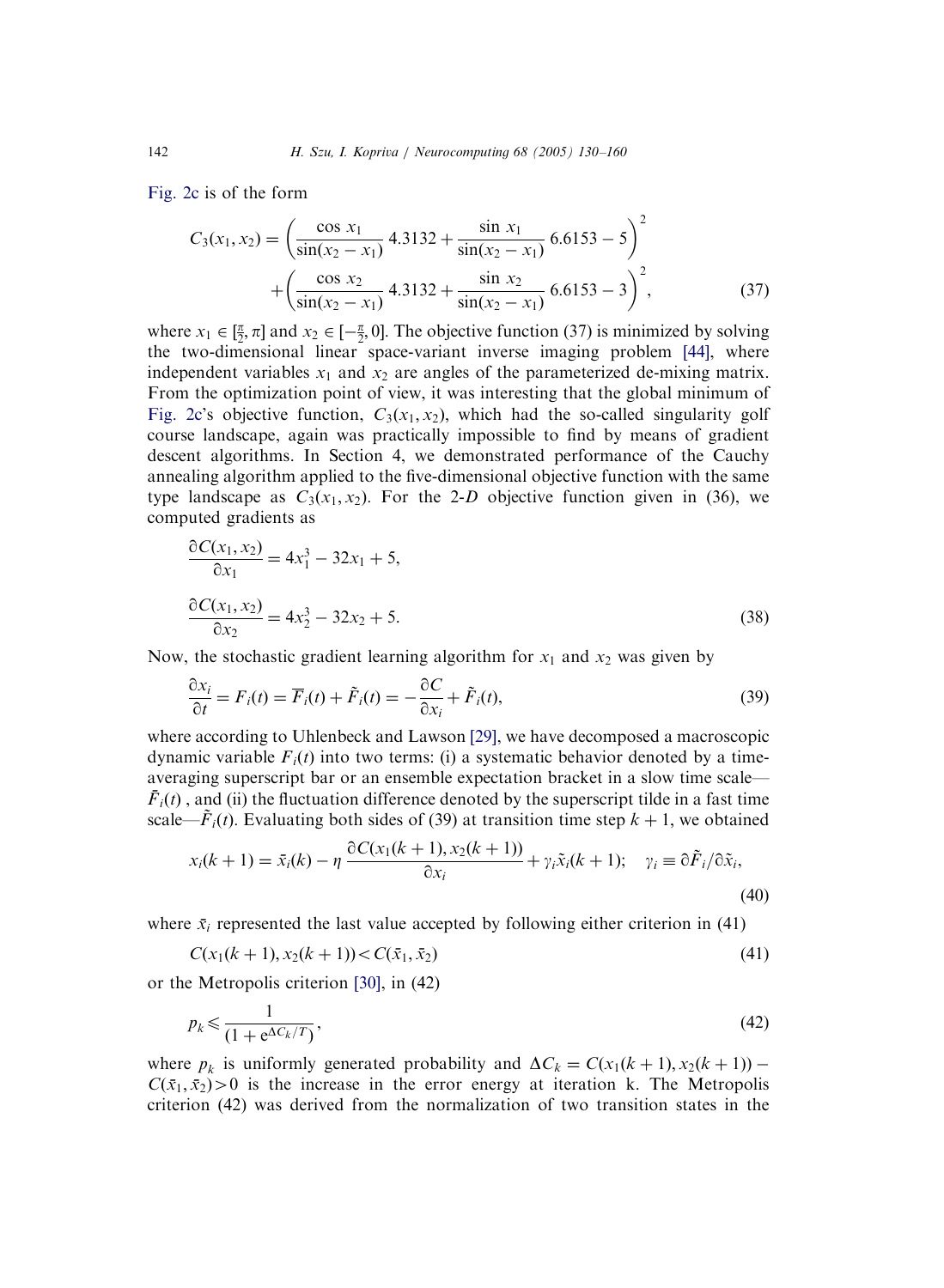[Fig. 2c](#page-10-0) is of the form

$$
C_3(x_1, x_2) = \left(\frac{\cos x_1}{\sin(x_2 - x_1)} \cdot 4.3132 + \frac{\sin x_1}{\sin(x_2 - x_1)} \cdot 6.6153 - 5\right)^2 + \left(\frac{\cos x_2}{\sin(x_2 - x_1)} \cdot 4.3132 + \frac{\sin x_2}{\sin(x_2 - x_1)} \cdot 6.6153 - 3\right)^2, \tag{37}
$$

where  $x_1 \in [\frac{\pi}{2}, \pi]$  and  $x_2 \in [-\frac{\pi}{2}, 0]$ . The objective function (37) is minimized by solving the two-dimensional linear space-variant inverse imaging problem [\[44\]](#page-29-0), where independent variables  $x_1$  and  $x_2$  are angles of the parameterized de-mixing matrix. From the optimization point of view, it was interesting that the global minimum of [Fig. 2c'](#page-10-0)s objective function,  $C_3(x_1, x_2)$ , which had the so-called singularity golf course landscape, again was practically impossible to find by means of gradient descent algorithms. In Section 4, we demonstrated performance of the Cauchy annealing algorithm applied to the five-dimensional objective function with the same type landscape as  $C_3(x_1, x_2)$ . For the 2-D objective function given in (36), we computed gradients as

$$
\frac{\partial C(x_1, x_2)}{\partial x_1} = 4x_1^3 - 32x_1 + 5,
$$
  

$$
\frac{\partial C(x_1, x_2)}{\partial x_2} = 4x_2^3 - 32x_2 + 5.
$$
 (38)

Now, the stochastic gradient learning algorithm for  $x_1$  and  $x_2$  was given by

$$
\frac{\partial x_i}{\partial t} = F_i(t) = \overline{F}_i(t) + \tilde{F}_i(t) = -\frac{\partial C}{\partial x_i} + \tilde{F}_i(t),
$$
\n(39)

where according to Uhlenbeck and Lawson [\[29\],](#page-29-0) we have decomposed a macroscopic dynamic variable  $F_i(t)$  into two terms: (i) a systematic behavior denoted by a timeaveraging superscript bar or an ensemble expectation bracket in a slow time scale—  $\bar{F}_i(t)$ , and (ii) the fluctuation difference denoted by the superscript tilde in a fast time scale— $\tilde{F}_i(t)$ . Evaluating both sides of (39) at transition time step  $k + 1$ , we obtained

$$
x_i(k+1) = \bar{x}_i(k) - \eta \frac{\partial C(x_1(k+1), x_2(k+1))}{\partial x_i} + \gamma_i \tilde{x}_i(k+1); \quad \gamma_i \equiv \partial \tilde{F}_i / \partial \tilde{x}_i,
$$
\n(40)

where  $\bar{x}_i$  represented the last value accepted by following either criterion in (41)

$$
C(x_1(k+1), x_2(k+1)) < C(\bar{x}_1, \bar{x}_2) \tag{41}
$$

or the Metropolis criterion [\[30\],](#page-29-0) in (42)

$$
p_k \leq \frac{1}{(1 + e^{\Delta C_k/T})},\tag{42}
$$

where  $p_k$  is uniformly generated probability and  $\Delta C_k = C(x_1(k + 1), x_2(k + 1))$  –  $C(\bar{x}_1, \bar{x}_2) > 0$  is the increase in the error energy at iteration k. The Metropolis criterion (42) was derived from the normalization of two transition states in the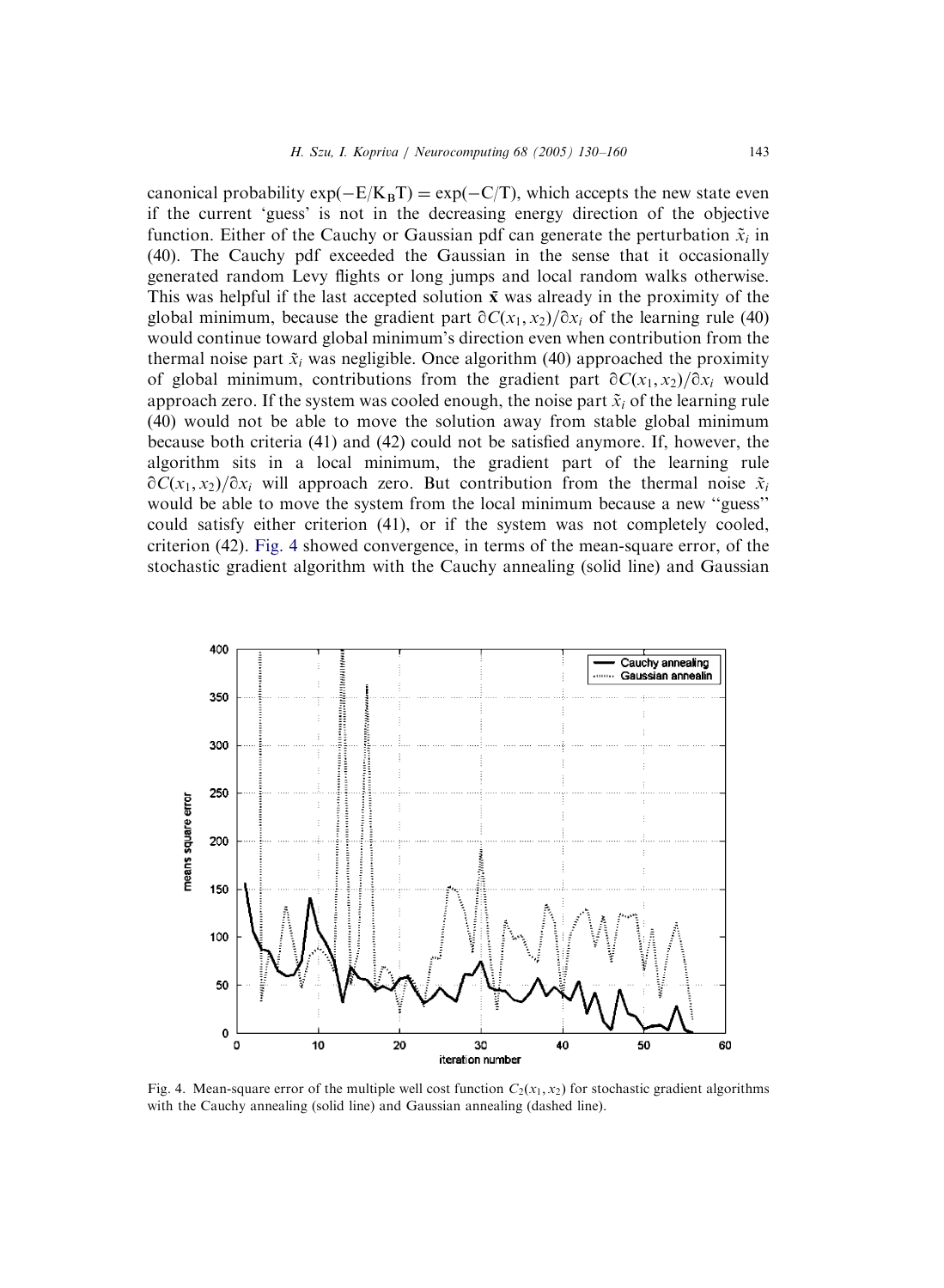canonical probability  $\exp(-E/K_B T) = \exp(-C/T)$ , which accepts the new state even if the current 'guess' is not in the decreasing energy direction of the objective function. Either of the Cauchy or Gaussian pdf can generate the perturbation  $\tilde{x}_i$  in (40). The Cauchy pdf exceeded the Gaussian in the sense that it occasionally generated random Levy flights or long jumps and local random walks otherwise. This was helpful if the last accepted solution  $\bar{x}$  was already in the proximity of the global minimum, because the gradient part  $\partial C(x_1, x_2)/\partial x_i$  of the learning rule (40) would continue toward global minimum's direction even when contribution from the thermal noise part  $\tilde{x}_i$  was negligible. Once algorithm (40) approached the proximity of global minimum, contributions from the gradient part  $\partial C(x_1, x_2)/\partial x_i$  would approach zero. If the system was cooled enough, the noise part  $\tilde{x}_i$  of the learning rule (40) would not be able to move the solution away from stable global minimum because both criteria (41) and (42) could not be satisfied anymore. If, however, the algorithm sits in a local minimum, the gradient part of the learning rule  $\partial C(x_1, x_2)/\partial x_i$  will approach zero. But contribution from the thermal noise  $\tilde{x}_i$ would be able to move the system from the local minimum because a new ''guess'' could satisfy either criterion (41), or if the system was not completely cooled, criterion (42). Fig. 4 showed convergence, in terms of the mean-square error, of the stochastic gradient algorithm with the Cauchy annealing (solid line) and Gaussian



Fig. 4. Mean-square error of the multiple well cost function  $C_2(x_1, x_2)$  for stochastic gradient algorithms with the Cauchy annealing (solid line) and Gaussian annealing (dashed line).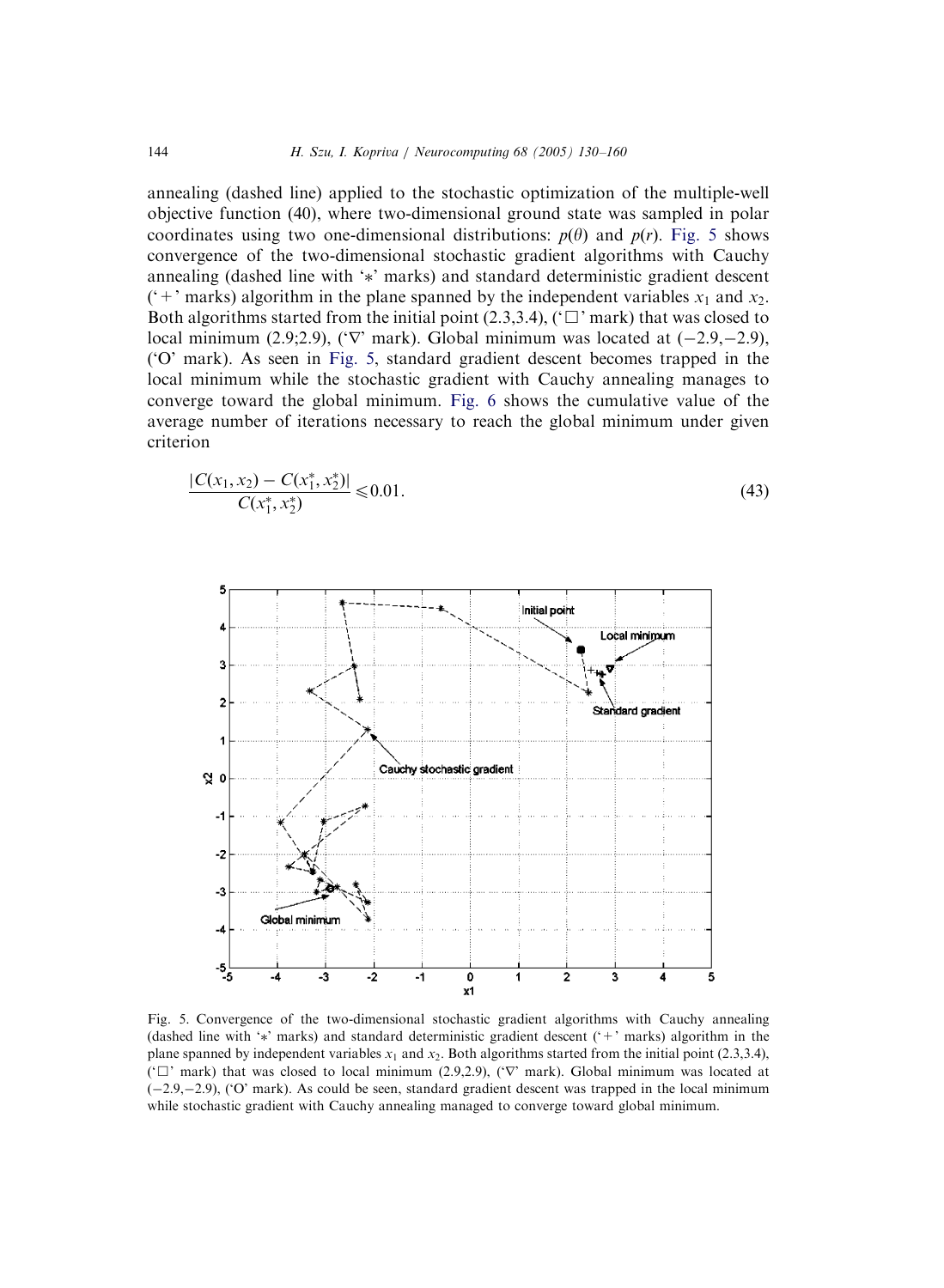annealing (dashed line) applied to the stochastic optimization of the multiple-well objective function (40), where two-dimensional ground state was sampled in polar coordinates using two one-dimensional distributions:  $p(\theta)$  and  $p(r)$ . Fig. 5 shows convergence of the two-dimensional stochastic gradient algorithms with Cauchy annealing (dashed line with '\*' marks) and standard deterministic gradient descent ('+' marks) algorithm in the plane spanned by the independent variables  $x_1$  and  $x_2$ . Both algorithms started from the initial point  $(2.3,3.4)$ ,  $(\Box)$  mark) that was closed to local minimum  $(2.9;2.9)$ ,  $(\nabla \cdot \text{mark})$ . Global minimum was located at  $(-2.9,-2.9)$ , ('O' mark). As seen in Fig. 5, standard gradient descent becomes trapped in the local minimum while the stochastic gradient with Cauchy annealing manages to converge toward the global minimum. [Fig. 6](#page-15-0) shows the cumulative value of the average number of iterations necessary to reach the global minimum under given criterion

$$
\frac{|C(x_1, x_2) - C(x_1^*, x_2^*)|}{C(x_1^*, x_2^*)} \le 0.01.
$$
\n(43)



Fig. 5. Convergence of the two-dimensional stochastic gradient algorithms with Cauchy annealing (dashed line with '' marks) and standard deterministic gradient descent ('+' marks) algorithm in the plane spanned by independent variables  $x_1$  and  $x_2$ . Both algorithms started from the initial point (2.3,3.4), ( $\Box$ ' mark) that was closed to local minimum (2.9,2.9), ( $\nabla$ ' mark). Global minimum was located at (-2.9,-2.9), ('O' mark). As could be seen, standard gradient descent was trapped in the local minimum while stochastic gradient with Cauchy annealing managed to converge toward global minimum.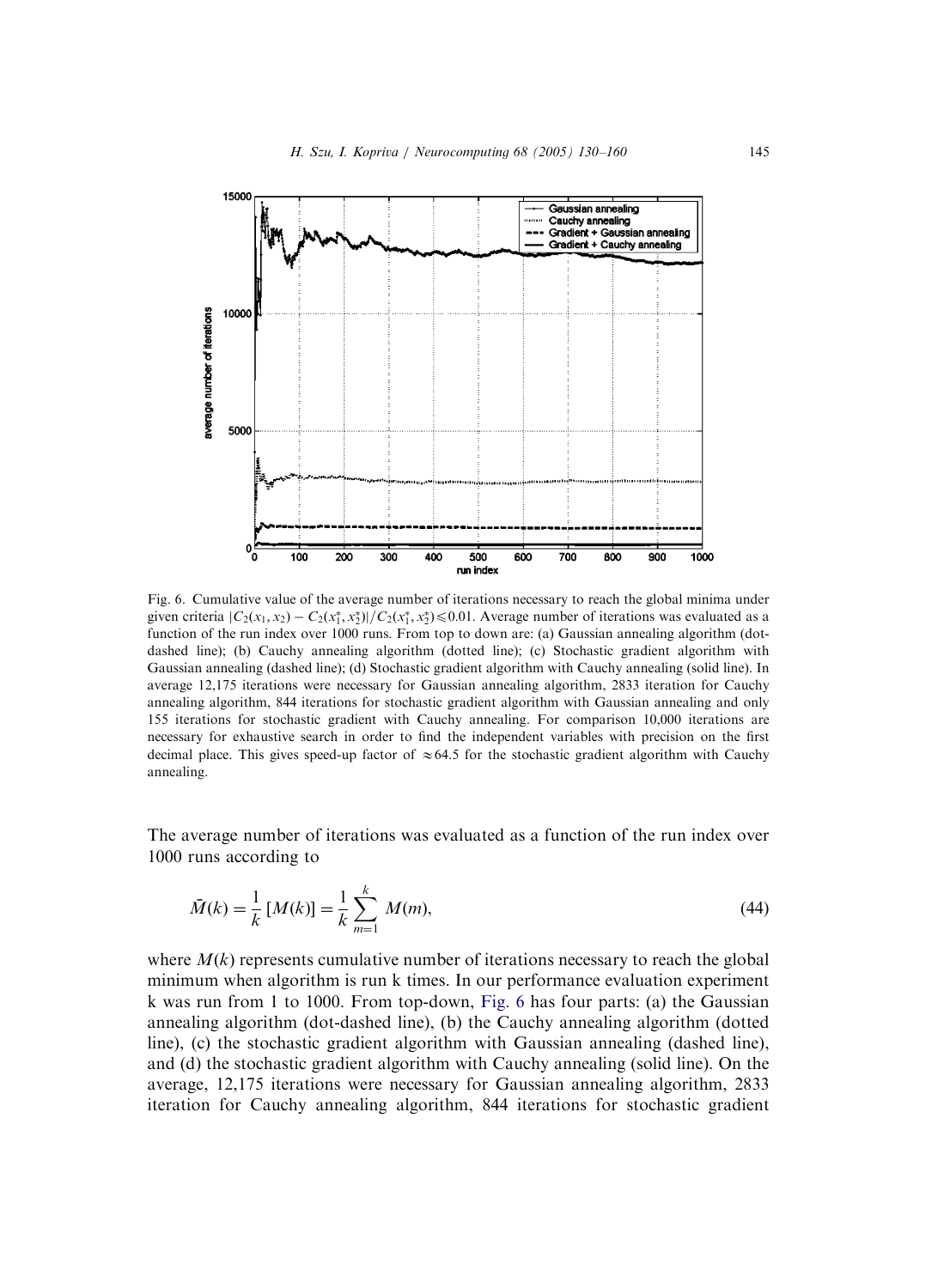<span id="page-15-0"></span>

Fig. 6. Cumulative value of the average number of iterations necessary to reach the global minima under given criteria  $|C_2(x_1, x_2) - C_2(x_1^*, x_2^*)|/C_2(x_1^*, x_2^*) \leq 0.01$ . Average number of iterations was evaluated as a function of the run index over 1000 runs. From top to down are: (a) Gaussian annealing algorithm (dotdashed line); (b) Cauchy annealing algorithm (dotted line); (c) Stochastic gradient algorithm with Gaussian annealing (dashed line); (d) Stochastic gradient algorithm with Cauchy annealing (solid line). In average 12,175 iterations were necessary for Gaussian annealing algorithm, 2833 iteration for Cauchy annealing algorithm, 844 iterations for stochastic gradient algorithm with Gaussian annealing and only 155 iterations for stochastic gradient with Cauchy annealing. For comparison 10,000 iterations are necessary for exhaustive search in order to find the independent variables with precision on the first decimal place. This gives speed-up factor of  $\approx 64.5$  for the stochastic gradient algorithm with Cauchy annealing.

The average number of iterations was evaluated as a function of the run index over 1000 runs according to

$$
\bar{M}(k) = \frac{1}{k} \left[ M(k) \right] = \frac{1}{k} \sum_{m=1}^{k} M(m),\tag{44}
$$

where  $M(k)$  represents cumulative number of iterations necessary to reach the global minimum when algorithm is run k times. In our performance evaluation experiment k was run from 1 to 1000. From top-down, Fig. 6 has four parts: (a) the Gaussian annealing algorithm (dot-dashed line), (b) the Cauchy annealing algorithm (dotted line), (c) the stochastic gradient algorithm with Gaussian annealing (dashed line), and (d) the stochastic gradient algorithm with Cauchy annealing (solid line). On the average, 12,175 iterations were necessary for Gaussian annealing algorithm, 2833 iteration for Cauchy annealing algorithm, 844 iterations for stochastic gradient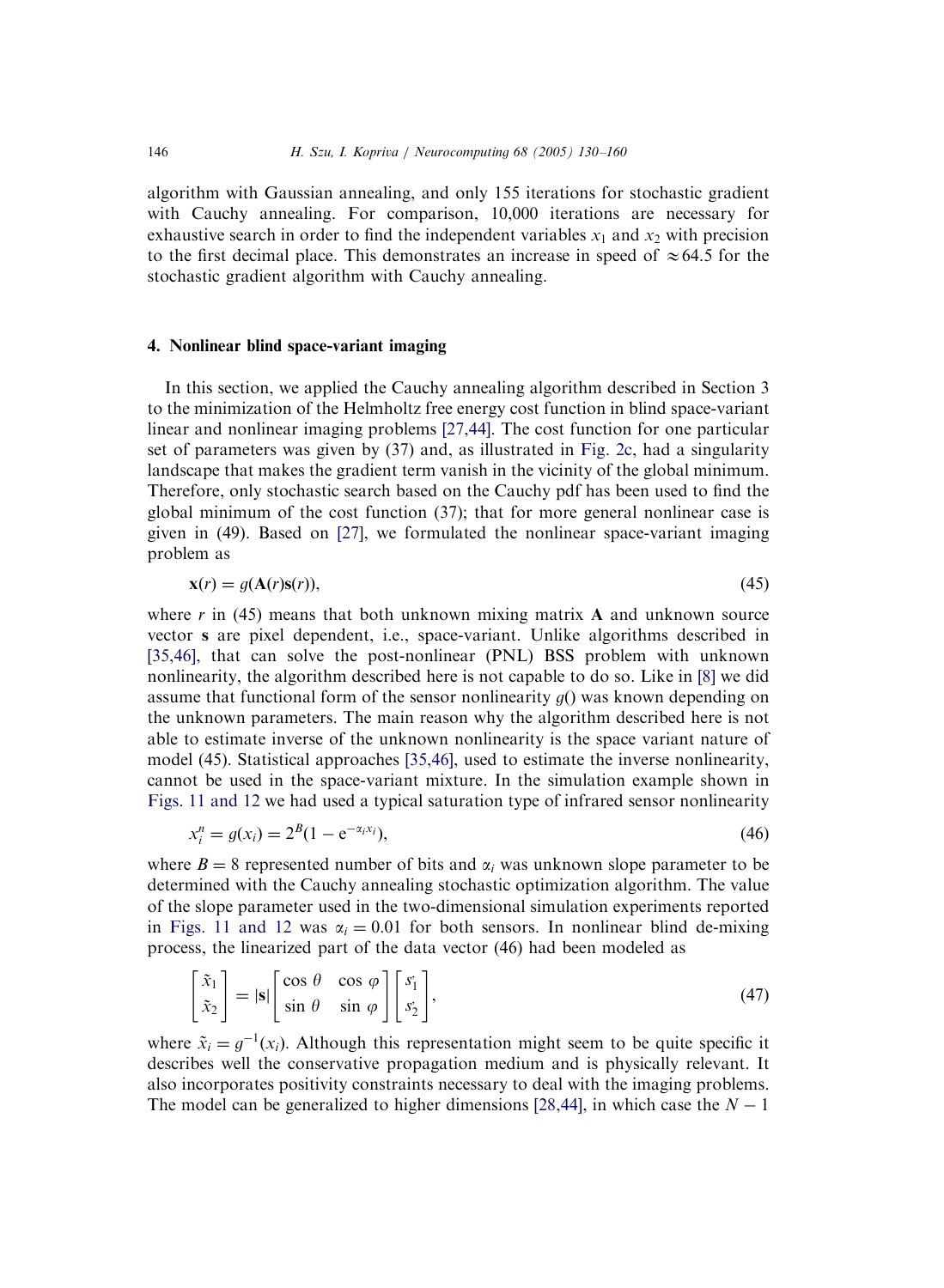algorithm with Gaussian annealing, and only 155 iterations for stochastic gradient with Cauchy annealing. For comparison, 10,000 iterations are necessary for exhaustive search in order to find the independent variables  $x_1$  and  $x_2$  with precision to the first decimal place. This demonstrates an increase in speed of  $\approx 64.5$  for the stochastic gradient algorithm with Cauchy annealing.

### 4. Nonlinear blind space-variant imaging

In this section, we applied the Cauchy annealing algorithm described in Section 3 to the minimization of the Helmholtz free energy cost function in blind space-variant linear and nonlinear imaging problems [\[27,44\]](#page-29-0). The cost function for one particular set of parameters was given by (37) and, as illustrated in [Fig. 2c,](#page-10-0) had a singularity landscape that makes the gradient term vanish in the vicinity of the global minimum. Therefore, only stochastic search based on the Cauchy pdf has been used to find the global minimum of the cost function (37); that for more general nonlinear case is given in (49). Based on [\[27\],](#page-29-0) we formulated the nonlinear space-variant imaging problem as

$$
\mathbf{x}(r) = g(\mathbf{A}(r)\mathbf{s}(r)),\tag{45}
$$

where r in (45) means that both unknown mixing matrix  $\bf{A}$  and unknown source vector s are pixel dependent, i.e., space-variant. Unlike algorithms described in [\[35,46\]](#page-29-0), that can solve the post-nonlinear (PNL) BSS problem with unknown nonlinearity, the algorithm described here is not capable to do so. Like in [\[8\]](#page-28-0) we did assume that functional form of the sensor nonlinearity  $g()$  was known depending on the unknown parameters. The main reason why the algorithm described here is not able to estimate inverse of the unknown nonlinearity is the space variant nature of model (45). Statistical approaches [\[35,46\],](#page-29-0) used to estimate the inverse nonlinearity, cannot be used in the space-variant mixture. In the simulation example shown in [Figs. 11 and 12](#page-22-0) we had used a typical saturation type of infrared sensor nonlinearity

$$
x_i^n = g(x_i) = 2^B (1 - e^{-\alpha_i x_i}),
$$
\n(46)

where  $B = 8$  represented number of bits and  $\alpha_i$  was unknown slope parameter to be determined with the Cauchy annealing stochastic optimization algorithm. The value of the slope parameter used in the two-dimensional simulation experiments reported in [Figs. 11 and 12](#page-22-0) was  $\alpha_i = 0.01$  for both sensors. In nonlinear blind de-mixing process, the linearized part of the data vector (46) had been modeled as

$$
\begin{bmatrix} \tilde{x}_1 \\ \tilde{x}_2 \end{bmatrix} = |s| \begin{bmatrix} \cos \theta & \cos \varphi \\ \sin \theta & \sin \varphi \end{bmatrix} \begin{bmatrix} s_1 \\ s_2 \end{bmatrix},
$$
\n(47)

where  $\tilde{x}_i = g^{-1}(x_i)$ . Although this representation might seem to be quite specific it describes well the conservative propagation medium and is physically relevant. It also incorporates positivity constraints necessary to deal with the imaging problems. The model can be generalized to higher dimensions [\[28,44\]](#page-29-0), in which case the  $N - 1$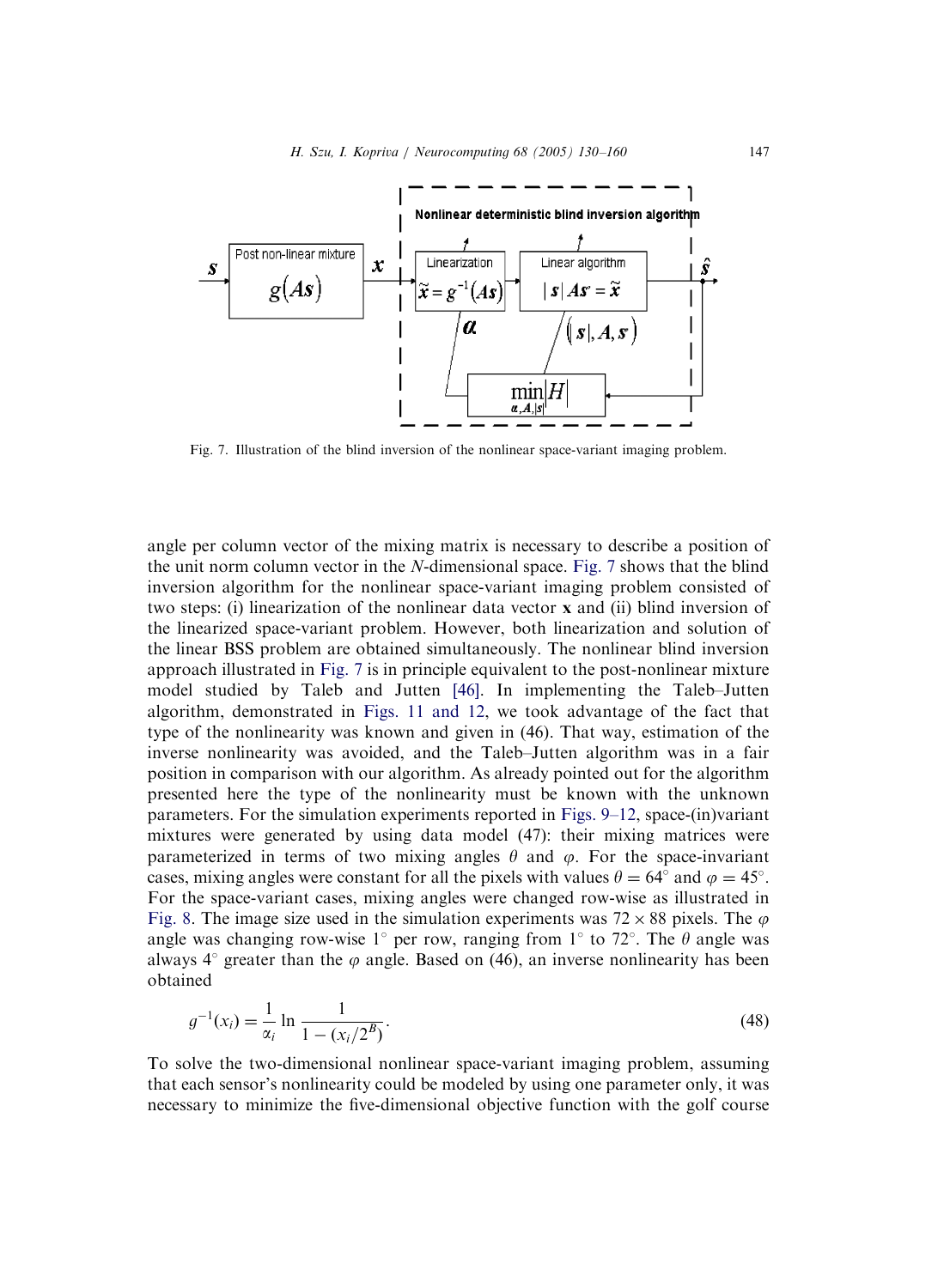

Fig. 7. Illustration of the blind inversion of the nonlinear space-variant imaging problem.

angle per column vector of the mixing matrix is necessary to describe a position of the unit norm column vector in the N-dimensional space. Fig. 7 shows that the blind inversion algorithm for the nonlinear space-variant imaging problem consisted of two steps: (i) linearization of the nonlinear data vector x and (ii) blind inversion of the linearized space-variant problem. However, both linearization and solution of the linear BSS problem are obtained simultaneously. The nonlinear blind inversion approach illustrated in Fig. 7 is in principle equivalent to the post-nonlinear mixture model studied by Taleb and Jutten [\[46\].](#page-30-0) In implementing the Taleb–Jutten algorithm, demonstrated in [Figs. 11 and 12,](#page-22-0) we took advantage of the fact that type of the nonlinearity was known and given in (46). That way, estimation of the inverse nonlinearity was avoided, and the Taleb–Jutten algorithm was in a fair position in comparison with our algorithm. As already pointed out for the algorithm presented here the type of the nonlinearity must be known with the unknown parameters. For the simulation experiments reported in [Figs. 9–12,](#page-20-0) space-(in)variant mixtures were generated by using data model (47): their mixing matrices were parameterized in terms of two mixing angles  $\theta$  and  $\varphi$ . For the space-invariant cases, mixing angles were constant for all the pixels with values  $\theta = 64^{\circ}$  and  $\varphi = 45^{\circ}$ . For the space-variant cases, mixing angles were changed row-wise as illustrated in [Fig. 8](#page-18-0). The image size used in the simulation experiments was  $72 \times 88$  pixels. The  $\varphi$ angle was changing row-wise 1<sup>°</sup> per row, ranging from 1<sup>°</sup> to 72<sup>°</sup>. The  $\theta$  angle was always  $4^\circ$  greater than the  $\varphi$  angle. Based on (46), an inverse nonlinearity has been obtained

$$
g^{-1}(x_i) = \frac{1}{\alpha_i} \ln \frac{1}{1 - (x_i/2^B)}.
$$
\n(48)

To solve the two-dimensional nonlinear space-variant imaging problem, assuming that each sensor's nonlinearity could be modeled by using one parameter only, it was necessary to minimize the five-dimensional objective function with the golf course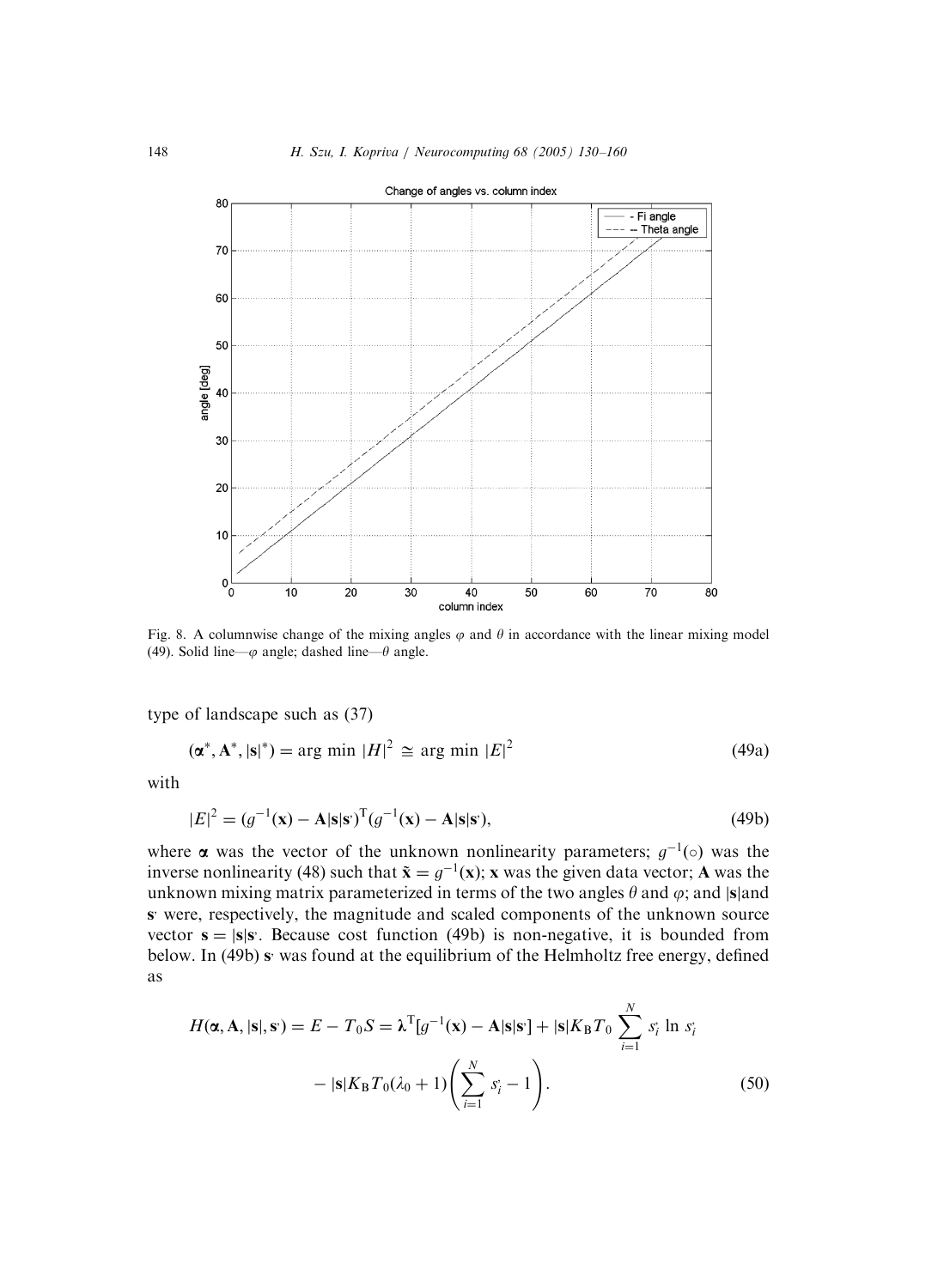<span id="page-18-0"></span>

Fig. 8. A columnwise change of the mixing angles  $\varphi$  and  $\theta$  in accordance with the linear mixing model (49). Solid line— $\varphi$  angle; dashed line— $\theta$  angle.

type of landscape such as (37)

$$
(\alpha^*, \mathbf{A}^*, |\mathbf{s}|^*) = \arg \min |H|^2 \cong \arg \min |E|^2 \tag{49a}
$$

with

$$
|E|^2 = (g^{-1}(\mathbf{x}) - \mathbf{A}|\mathbf{s}|\mathbf{s})^{\mathrm{T}}(g^{-1}(\mathbf{x}) - \mathbf{A}|\mathbf{s}|\mathbf{s}),\tag{49b}
$$

where  $\alpha$  was the vector of the unknown nonlinearity parameters;  $g^{-1}(\circ)$  was the inverse nonlinearity (48) such that  $\tilde{\mathbf{x}} = g^{-1}(\mathbf{x})$ ; x was the given data vector; A was the unknown mixing matrix parameterized in terms of the two angles  $\theta$  and  $\varphi$ ; and  $|\mathbf{s}|$  and s; were, respectively, the magnitude and scaled components of the unknown source vector  $s = |s|s$ . Because cost function (49b) is non-negative, it is bounded from below. In (49b) s<sup>*v*</sup> was found at the equilibrium of the Helmholtz free energy, defined as

$$
H(\alpha, \mathbf{A}, |\mathbf{s}|, \mathbf{s}) = E - T_0 S = \lambda^{\mathrm{T}} [g^{-1}(\mathbf{x}) - \mathbf{A}|\mathbf{s}|\mathbf{s}^{\mathrm{T}}] + |\mathbf{s}|K_{\mathrm{B}}T_0 \sum_{i=1}^{N} s_i^{\mathrm{T}} \ln s_i^{\mathrm{T}}
$$

$$
- |\mathbf{s}|K_{\mathrm{B}}T_0(\lambda_0 + 1) \left(\sum_{i=1}^{N} s_i^{\mathrm{T}} - 1\right). \tag{50}
$$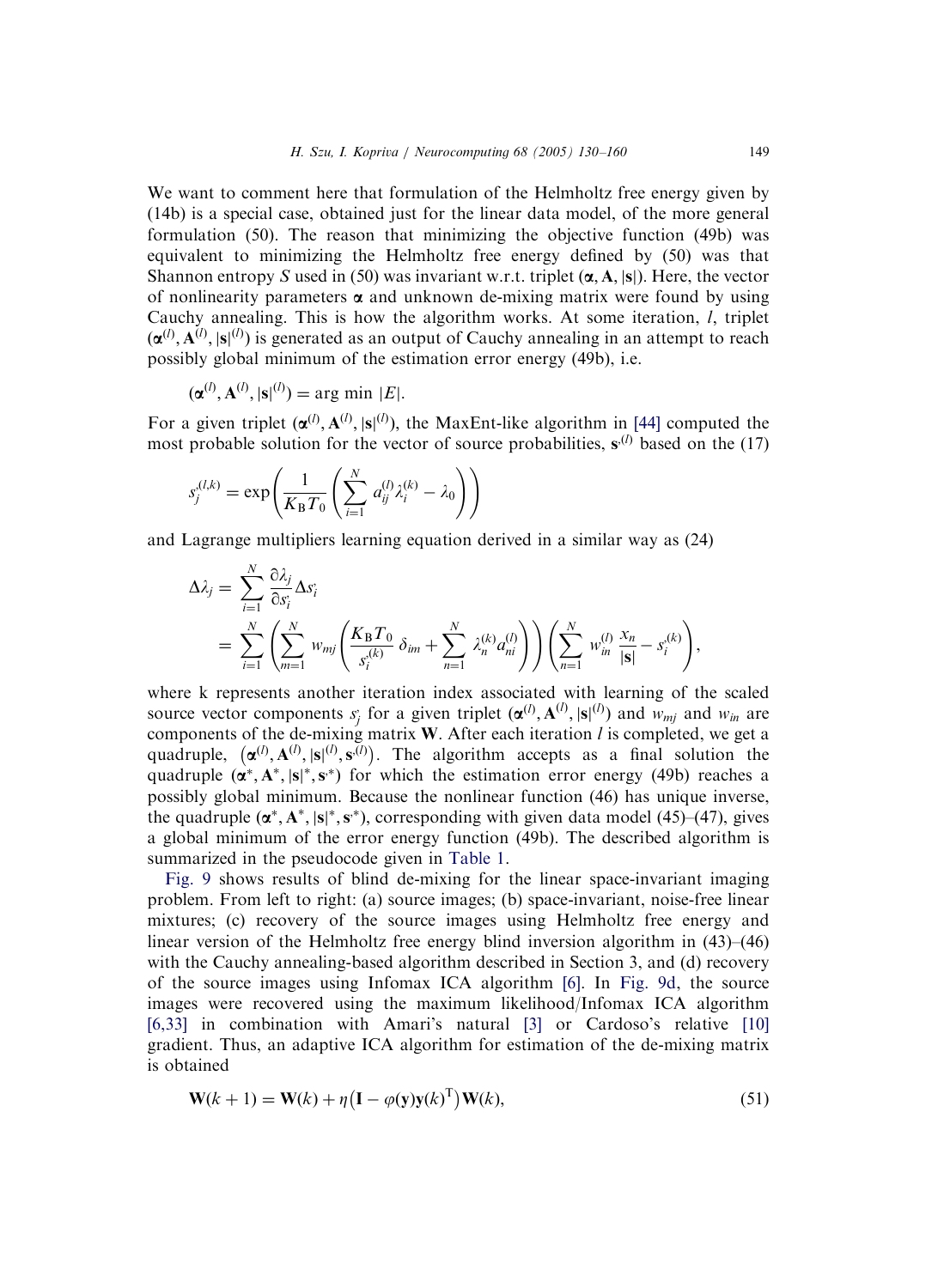We want to comment here that formulation of the Helmholtz free energy given by (14b) is a special case, obtained just for the linear data model, of the more general formulation (50). The reason that minimizing the objective function (49b) was equivalent to minimizing the Helmholtz free energy defined by (50) was that Shannon entropy S used in (50) was invariant w.r.t. triplet  $(\alpha, A, |s|)$ . Here, the vector of nonlinearity parameters  $\alpha$  and unknown de-mixing matrix were found by using Cauchy annealing. This is how the algorithm works. At some iteration,  $l$ , triplet  $(\boldsymbol{\alpha}^{(l)}, \mathbf{A}^{(l)}, |\mathbf{s}|^{(l)})$  is generated as an output of Cauchy annealing in an attempt to reach possibly global minimum of the estimation error energy (49b), i.e.

$$
(\boldsymbol{\alpha}^{(l)}, \mathbf{A}^{(l)}, |\mathbf{s}|^{(l)}) = \arg \min |E|.
$$

For a given triplet  $(\boldsymbol{\alpha}^{(l)}, \mathbf{A}^{(l)}, |\mathbf{s}|^{(l)})$ , the MaxEnt-like algorithm in [\[44\]](#page-29-0) computed the most probable solution for the vector of source probabilities,  $s^{(l)}$  based on the (17)

$$
s_j^{(l,k)} = \exp\left(\frac{1}{K_\mathrm{B}T_0} \left(\sum_{i=1}^N a_{ij}^{(l)} \lambda_i^{(k)} - \lambda_0\right)\right)
$$

and Lagrange multipliers learning equation derived in a similar way as (24)

$$
\Delta \lambda_j = \sum_{i=1}^N \frac{\partial \lambda_j}{\partial s_i} \Delta s_i
$$
  
= 
$$
\sum_{i=1}^N \left( \sum_{m=1}^N w_{mj} \left( \frac{K_B T_0}{s_i^{(k)}} \delta_{im} + \sum_{n=1}^N \lambda_n^{(k)} a_{ni}^{(l)} \right) \right) \left( \sum_{n=1}^N w_{in}^{(l)} \frac{x_n}{|\mathbf{s}|} - s_i^{(k)} \right),
$$

where k represents another iteration index associated with learning of the scaled source vector components  $s_j$  for a given triplet  $(\alpha^{(l)}, A^{(l)}, |s|^{(l)})$  and  $w_{mj}$  and  $w_{in}$  are components of the de-mixing matrix W. After each iteration  $l$  is completed, we get a eomponents of the de linking matrix W. Their each rectation t is completed, we get a quadruple,  $(\alpha^{(l)}, A^{(l)}, s^{(l)}, s^{(l)})$ . The algorithm accepts as a final solution the quadruple  $(\alpha^*, A^*, |s|^*, s^*)$  for which the estimation error energy (49b) reaches a possibly global minimum. Because the nonlinear function (46) has unique inverse, the quadruple  $(\alpha^*, A^*, |s|^*, s^*)$ , corresponding with given data model (45)–(47), gives a global minimum of the error energy function (49b). The described algorithm is summarized in the pseudocode given in [Table 1](#page-20-0).

[Fig. 9](#page-20-0) shows results of blind de-mixing for the linear space-invariant imaging problem. From left to right: (a) source images; (b) space-invariant, noise-free linear mixtures; (c) recovery of the source images using Helmholtz free energy and linear version of the Helmholtz free energy blind inversion algorithm in (43)–(46) with the Cauchy annealing-based algorithm described in Section 3, and (d) recovery of the source images using Infomax ICA algorithm [\[6\].](#page-28-0) In [Fig. 9d,](#page-20-0) the source images were recovered using the maximum likelihood/Infomax ICA algorithm [\[6,33\]](#page-28-0) in combination with Amari's natural [\[3\]](#page-28-0) or Cardoso's relative [\[10\]](#page-28-0) gradient. Thus, an adaptive ICA algorithm for estimation of the de-mixing matrix is obtained

$$
\mathbf{W}(k+1) = \mathbf{W}(k) + \eta \left( \mathbf{I} - \varphi(\mathbf{y}) \mathbf{y}(k)^{\mathrm{T}} \right) \mathbf{W}(k),\tag{51}
$$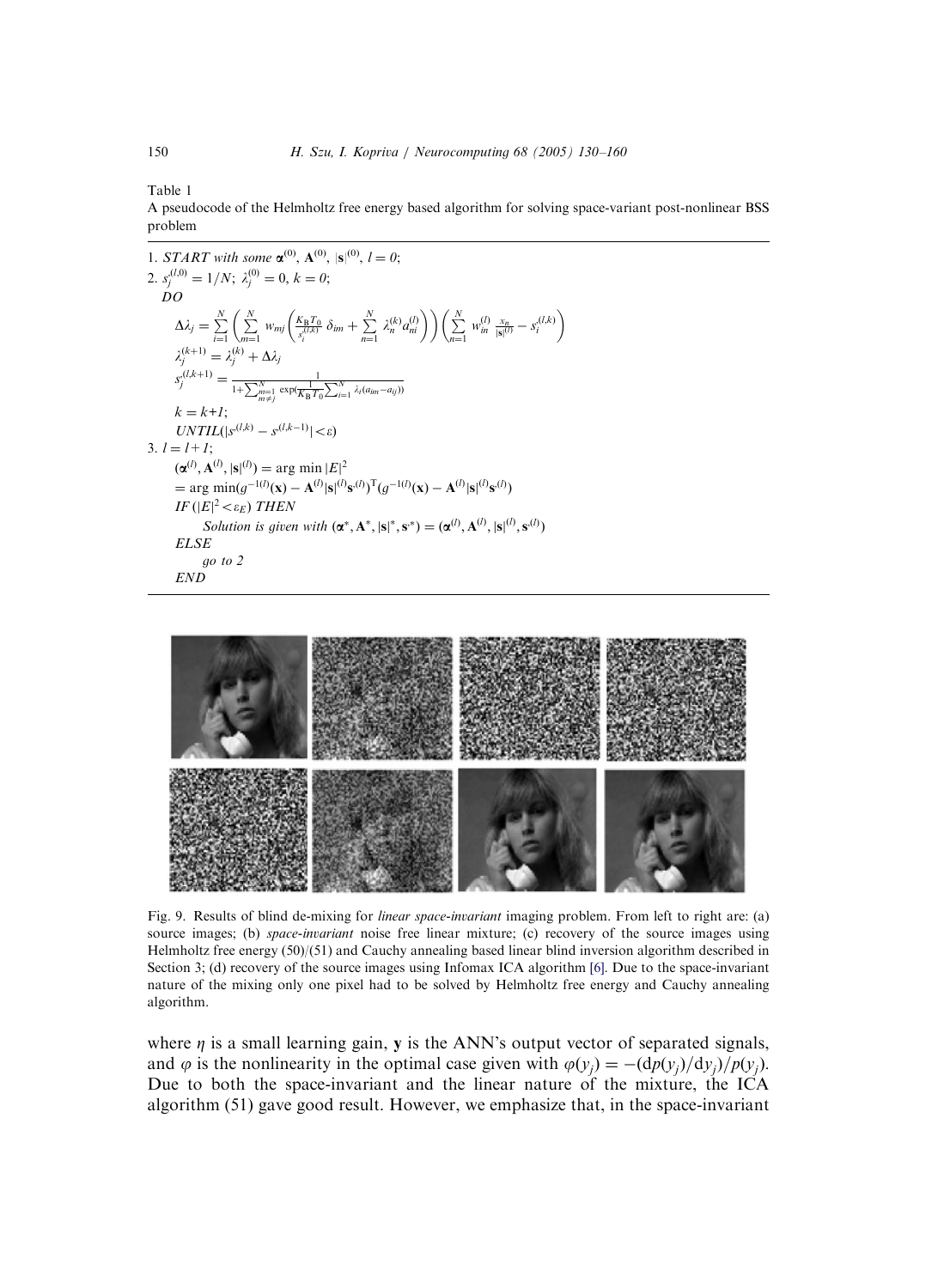<span id="page-20-0"></span>Table 1

A pseudocode of the Helmholtz free energy based algorithm for solving space-variant post-nonlinear BSS problem

1. START with some  $\mathbf{\alpha}^{(0)}$ ,  $\mathbf{A}^{(0)}$ ,  $|\mathbf{s}|^{(0)}$ ,  $l = 0$ ; 2.  $s_j^{(l,0)} = 1/N$ ;  $\lambda_j^{(0)} = 0$ ,  $k = 0$ ; DO  $\Delta \lambda_j = \sum_{i=1}^N$  $\stackrel{N}{\leftarrow}$  $\left(\sum_{m=1}^N \; w_{mj} \left( \frac{K_{\rm B} T_0}{s_i^{(l,k)}} \; \delta_{im} + \sum_{n=1}^N \; \lambda_n^{(k)} a_{ni}^{(l)} \right) \right) \left( \sum_{n=1}^N \; w_{in}^{(l)} \; \frac{x_n}{|{\bf s}|^{(l)}} - s_i^{(l,k)} \right.$  $\left( N \right)$  $\lambda_j^{(k+1)} = \lambda_j^{(k)} + \Delta \lambda_j$  $s_j^{(l,k+1)} = \frac{1}{1 + \sum_{\substack{m=1 \ m \neq j}}^N \exp(\frac{1}{K_B T_0} \sum_{i=1}^N \lambda_i (a_{im} - a_{ij}))}$  $k = k+1$ ;  $UNTIL(|s^{(l,k)} - s^{(l,k-1)}| < \varepsilon)$ 3.  $l = l+1$ ;  $(\alpha^{(l)}, A^{(l)}, |s|^{(l)}) = \arg \min |E|^2$ = arg min(g<sup>-1(l)</sup>(**x**) – **A**<sup>(l)</sup>|**s**|<sup>(l)</sup>**s**<sup>(l)</sup>)<sup>T</sup>(g<sup>-1(l)</sup>(**x**) – **A**<sup>(l)</sup>|**s**|<sup>(l)</sup>**s**<sup>(l)</sup>) IF ( $|E|^2$   $<$   $\varepsilon_E$ ) THEN Solution is given with  $(\mathbf{\alpha}^*, \mathbf{A}^*, |\mathbf{s}|^*, \mathbf{s}^*) = (\mathbf{\alpha}^{(l)}, \mathbf{A}^{(l)}, |\mathbf{s}|^{(l)}, \mathbf{s}^{(l)})$ ELSE go to 2 END



Fig. 9. Results of blind de-mixing for *linear space-invariant* imaging problem. From left to right are: (a) source images; (b) space-invariant noise free linear mixture; (c) recovery of the source images using Helmholtz free energy (50)/(51) and Cauchy annealing based linear blind inversion algorithm described in Section 3; (d) recovery of the source images using Infomax ICA algorithm [\[6\].](#page-28-0) Due to the space-invariant nature of the mixing only one pixel had to be solved by Helmholtz free energy and Cauchy annealing algorithm.

where  $\eta$  is a small learning gain, y is the ANN's output vector of separated signals, and  $\varphi$  is the nonlinearity in the optimal case given with  $\varphi(y_j) = -(dp(y_j)/dy_j)/p(y_j)$ . Due to both the space-invariant and the linear nature of the mixture, the ICA algorithm (51) gave good result. However, we emphasize that, in the space-invariant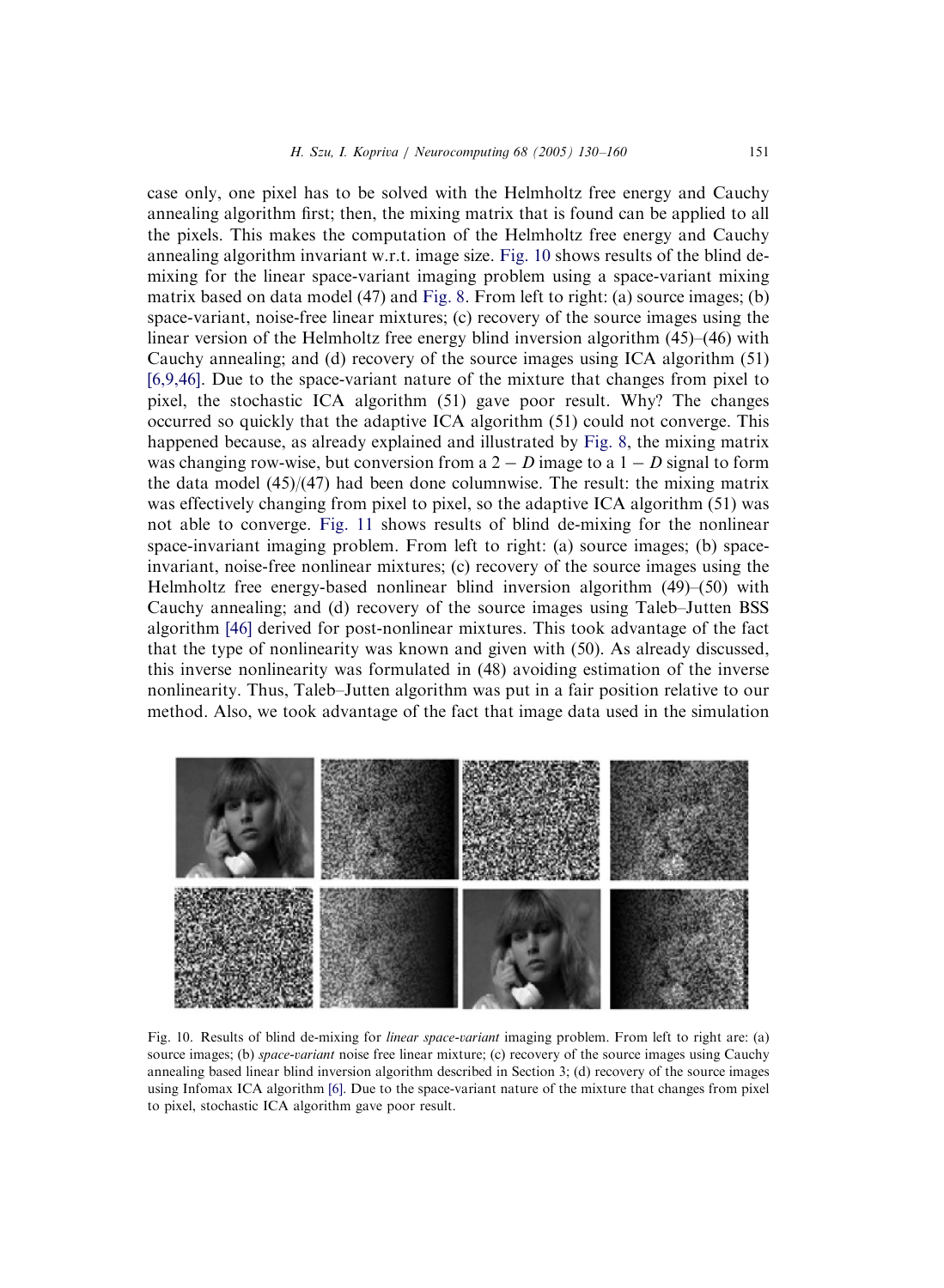case only, one pixel has to be solved with the Helmholtz free energy and Cauchy annealing algorithm first; then, the mixing matrix that is found can be applied to all the pixels. This makes the computation of the Helmholtz free energy and Cauchy annealing algorithm invariant w.r.t. image size. Fig. 10 shows results of the blind demixing for the linear space-variant imaging problem using a space-variant mixing matrix based on data model (47) and [Fig. 8](#page-18-0). From left to right: (a) source images; (b) space-variant, noise-free linear mixtures; (c) recovery of the source images using the linear version of the Helmholtz free energy blind inversion algorithm (45)–(46) with Cauchy annealing; and (d) recovery of the source images using ICA algorithm (51) [\[6,9,46\].](#page-28-0) Due to the space-variant nature of the mixture that changes from pixel to pixel, the stochastic ICA algorithm (51) gave poor result. Why? The changes occurred so quickly that the adaptive ICA algorithm (51) could not converge. This happened because, as already explained and illustrated by [Fig. 8,](#page-18-0) the mixing matrix was changing row-wise, but conversion from a  $2 - D$  image to a  $1 - D$  signal to form the data model  $(45)/(47)$  had been done columnwise. The result: the mixing matrix was effectively changing from pixel to pixel, so the adaptive ICA algorithm (51) was not able to converge. [Fig. 11](#page-22-0) shows results of blind de-mixing for the nonlinear space-invariant imaging problem. From left to right: (a) source images; (b) spaceinvariant, noise-free nonlinear mixtures; (c) recovery of the source images using the Helmholtz free energy-based nonlinear blind inversion algorithm (49)–(50) with Cauchy annealing; and (d) recovery of the source images using Taleb–Jutten BSS algorithm [\[46\]](#page-30-0) derived for post-nonlinear mixtures. This took advantage of the fact that the type of nonlinearity was known and given with (50). As already discussed, this inverse nonlinearity was formulated in (48) avoiding estimation of the inverse nonlinearity. Thus, Taleb–Jutten algorithm was put in a fair position relative to our method. Also, we took advantage of the fact that image data used in the simulation



Fig. 10. Results of blind de-mixing for *linear space-variant* imaging problem. From left to right are: (a) source images; (b) *space-variant* noise free linear mixture; (c) recovery of the source images using Cauchy annealing based linear blind inversion algorithm described in Section 3; (d) recovery of the source images using Infomax ICA algorithm [\[6\].](#page-28-0) Due to the space-variant nature of the mixture that changes from pixel to pixel, stochastic ICA algorithm gave poor result.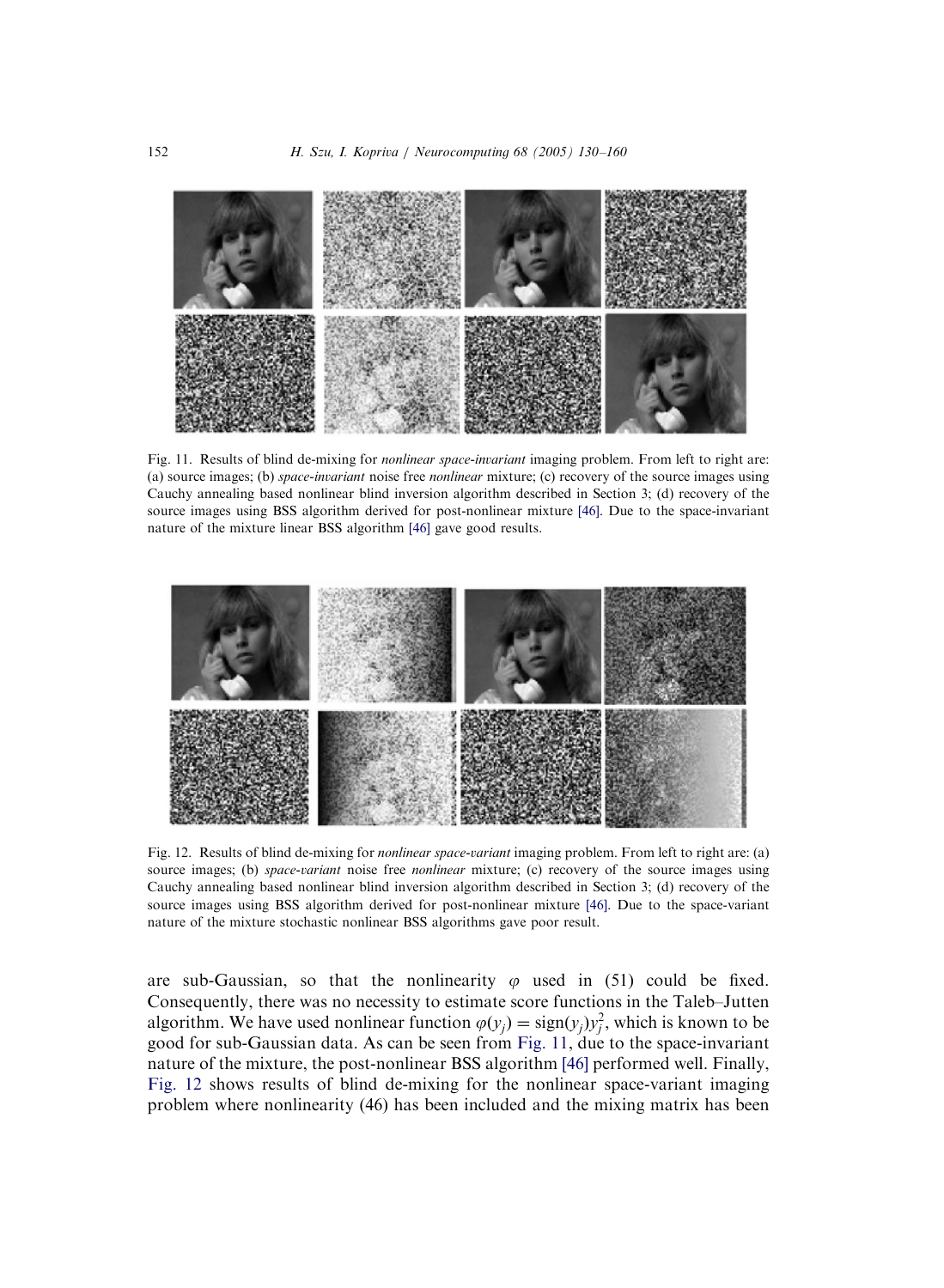<span id="page-22-0"></span>

Fig. 11. Results of blind de-mixing for nonlinear space-invariant imaging problem. From left to right are: (a) source images; (b) space-invariant noise free nonlinear mixture; (c) recovery of the source images using Cauchy annealing based nonlinear blind inversion algorithm described in Section 3; (d) recovery of the source images using BSS algorithm derived for post-nonlinear mixture [\[46\].](#page-30-0) Due to the space-invariant nature of the mixture linear BSS algorithm [\[46\]](#page-30-0) gave good results.



Fig. 12. Results of blind de-mixing for *nonlinear space-variant* imaging problem. From left to right are: (a) source images; (b) space-variant noise free nonlinear mixture; (c) recovery of the source images using Cauchy annealing based nonlinear blind inversion algorithm described in Section 3; (d) recovery of the source images using BSS algorithm derived for post-nonlinear mixture [\[46\]](#page-30-0). Due to the space-variant nature of the mixture stochastic nonlinear BSS algorithms gave poor result.

are sub-Gaussian, so that the nonlinearity  $\varphi$  used in (51) could be fixed. Consequently, there was no necessity to estimate score functions in the Taleb–Jutten algorithm. We have used nonlinear function  $\varphi(y_j) = \text{sign}(y_j)y_j^2$ , which is known to be good for sub-Gaussian data. As can be seen from Fig. 11, due to the space-invariant nature of the mixture, the post-nonlinear BSS algorithm [\[46\]](#page-30-0) performed well. Finally, Fig. 12 shows results of blind de-mixing for the nonlinear space-variant imaging problem where nonlinearity (46) has been included and the mixing matrix has been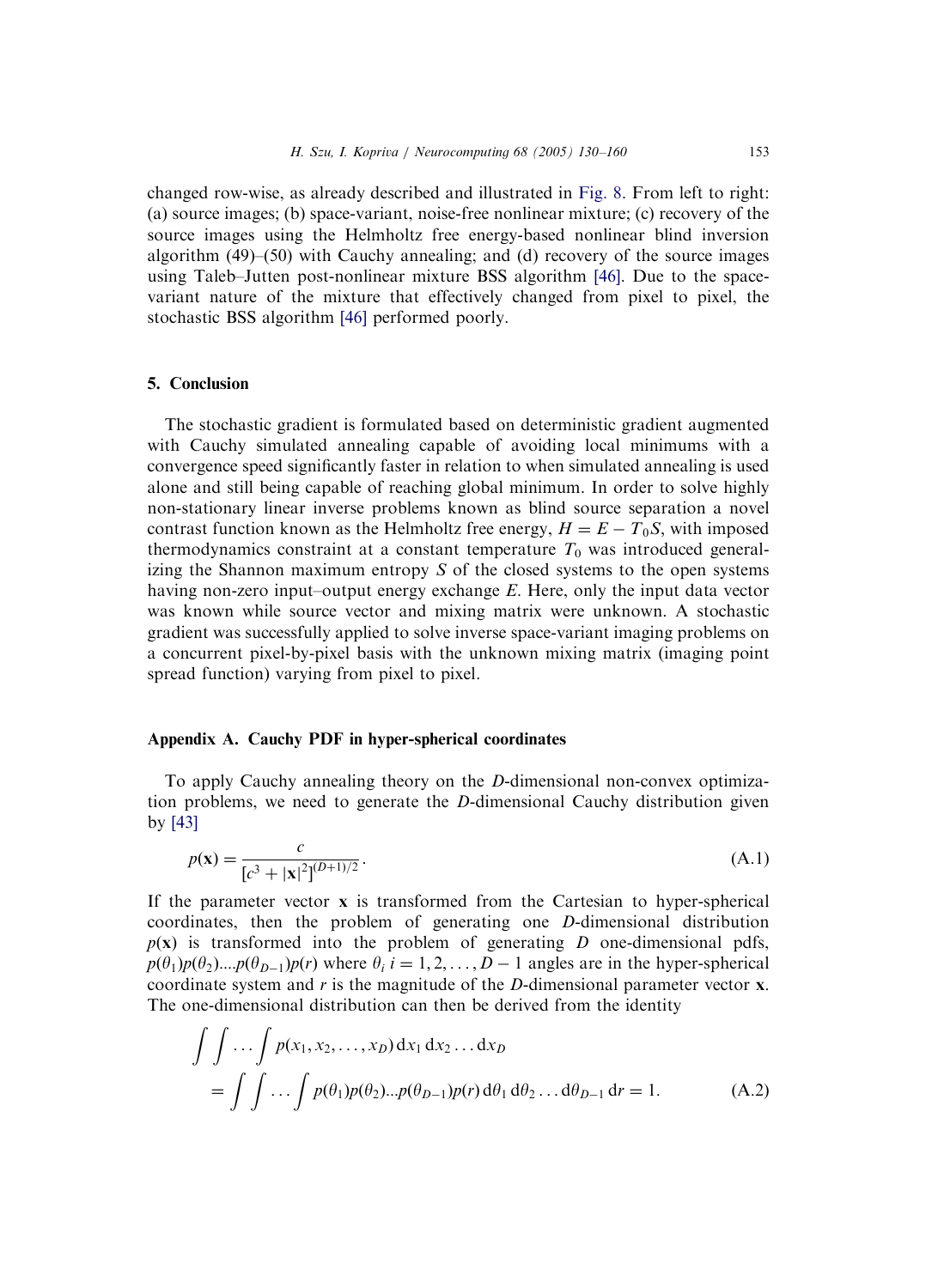changed row-wise, as already described and illustrated in [Fig. 8.](#page-18-0) From left to right: (a) source images; (b) space-variant, noise-free nonlinear mixture; (c) recovery of the source images using the Helmholtz free energy-based nonlinear blind inversion algorithm (49)–(50) with Cauchy annealing; and (d) recovery of the source images using Taleb–Jutten post-nonlinear mixture BSS algorithm [\[46\].](#page-30-0) Due to the spacevariant nature of the mixture that effectively changed from pixel to pixel, the stochastic BSS algorithm [\[46\]](#page-30-0) performed poorly.

### 5. Conclusion

The stochastic gradient is formulated based on deterministic gradient augmented with Cauchy simulated annealing capable of avoiding local minimums with a convergence speed significantly faster in relation to when simulated annealing is used alone and still being capable of reaching global minimum. In order to solve highly non-stationary linear inverse problems known as blind source separation a novel contrast function known as the Helmholtz free energy,  $H = E - T_0 S$ , with imposed thermodynamics constraint at a constant temperature  $T_0$  was introduced generalizing the Shannon maximum entropy S of the closed systems to the open systems having non-zero input–output energy exchange  $E$ . Here, only the input data vector was known while source vector and mixing matrix were unknown. A stochastic gradient was successfully applied to solve inverse space-variant imaging problems on a concurrent pixel-by-pixel basis with the unknown mixing matrix (imaging point spread function) varying from pixel to pixel.

### Appendix A. Cauchy PDF in hyper-spherical coordinates

To apply Cauchy annealing theory on the D-dimensional non-convex optimization problems, we need to generate the D-dimensional Cauchy distribution given by [\[43\]](#page-29-0)

$$
p(\mathbf{x}) = \frac{c}{[c^3 + |\mathbf{x}|^2]^{(D+1)/2}}.
$$
\n(A.1)

If the parameter vector  $\bf{x}$  is transformed from the Cartesian to hyper-spherical coordinates, then the problem of generating one D-dimensional distribution  $p(x)$  is transformed into the problem of generating D one-dimensional pdfs,  $p(\theta_1)p(\theta_2)...p(\theta_{D-1})p(r)$  where  $\theta_i$  i = 1, 2, ..., D – 1 angles are in the hyper-spherical coordinate system and  $r$  is the magnitude of the  $D$ -dimensional parameter vector  $x$ . The one-dimensional distribution can then be derived from the identity

$$
\int \int \ldots \int p(x_1, x_2, \ldots, x_D) dx_1 dx_2 \ldots dx_D
$$
  
= 
$$
\int \int \ldots \int p(\theta_1) p(\theta_2) \ldots p(\theta_{D-1}) p(r) d\theta_1 d\theta_2 \ldots d\theta_{D-1} dr = 1.
$$
 (A.2)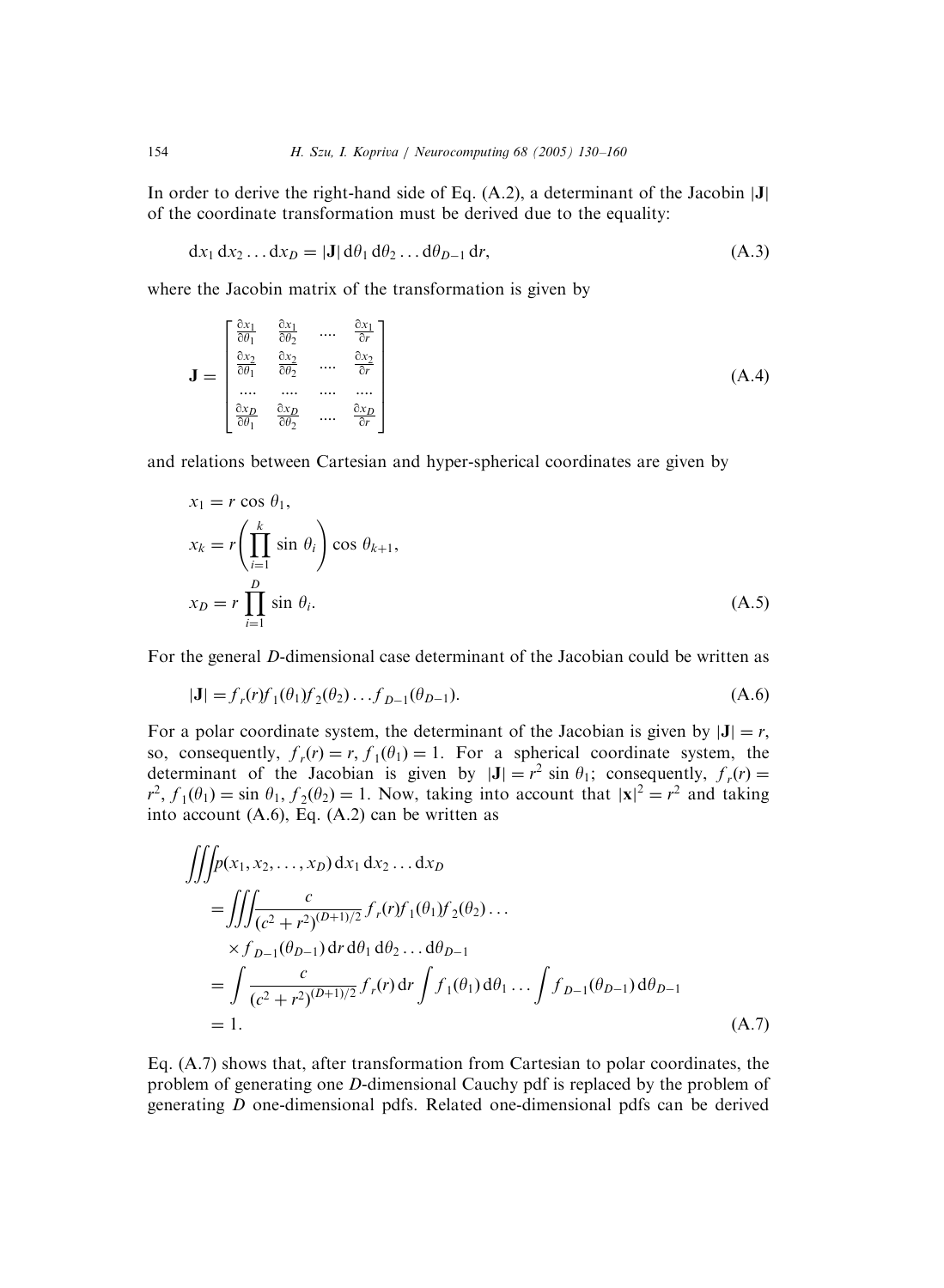In order to derive the right-hand side of Eq.  $(A.2)$ , a determinant of the Jacobin  $|J|$ of the coordinate transformation must be derived due to the equality:

$$
dx_1 dx_2 ... dx_D = |J| d\theta_1 d\theta_2 ... d\theta_{D-1} dr,
$$
\n(A.3)

where the Jacobin matrix of the transformation is given by

$$
\mathbf{J} = \begin{bmatrix} \frac{\partial x_1}{\partial \theta_1} & \frac{\partial x_1}{\partial \theta_2} & \dots & \frac{\partial x_1}{\partial r} \\ \frac{\partial x_2}{\partial \theta_1} & \frac{\partial x_2}{\partial \theta_2} & \dots & \frac{\partial x_2}{\partial r} \\ \dots & \dots & \dots & \dots \\ \frac{\partial x_D}{\partial \theta_1} & \frac{\partial x_D}{\partial \theta_2} & \dots & \frac{\partial x_D}{\partial r} \end{bmatrix}
$$
(A.4)

and relations between Cartesian and hyper-spherical coordinates are given by

$$
x_1 = r \cos \theta_1,
$$
  
\n
$$
x_k = r \left( \prod_{i=1}^k \sin \theta_i \right) \cos \theta_{k+1},
$$
  
\n
$$
x_D = r \prod_{i=1}^D \sin \theta_i.
$$
\n(A.5)

For the general D-dimensional case determinant of the Jacobian could be written as

$$
|\mathbf{J}| = f_r(r)f_1(\theta_1)f_2(\theta_2)\dots f_{D-1}(\theta_{D-1}).
$$
\n(A.6)

For a polar coordinate system, the determinant of the Jacobian is given by  $|J| = r$ , so, consequently,  $f_r(r) = r$ ,  $f_1(\theta_1) = 1$ . For a spherical coordinate system, the determinant of the Jacobian is given by  $|J| = r^2 \sin \theta_1$ ; consequently,  $f_r(r) =$  $r^2$ ,  $f_1(\theta_1) = \sin \theta_1$ ,  $f_2(\theta_2) = 1$ . Now, taking into account that  $|x|^2 = r^2$  and taking into account  $(A.6)$ , Eq.  $(A.2)$  can be written as

$$
\iiint p(x_1, x_2, ..., x_D) dx_1 dx_2 ... dx_D
$$
\n
$$
= \iiint_{(c^2 + r^2)^{(D+1)/2}} f_r(r) f_1(\theta_1) f_2(\theta_2) ...
$$
\n
$$
\times f_{D-1}(\theta_{D-1}) dr d\theta_1 d\theta_2 ... d\theta_{D-1}
$$
\n
$$
= \int \frac{c}{(c^2 + r^2)^{(D+1)/2}} f_r(r) dr \int f_1(\theta_1) d\theta_1 ... \int f_{D-1}(\theta_{D-1}) d\theta_{D-1}
$$
\n
$$
= 1.
$$
\n(A.7)

Eq. (A.7) shows that, after transformation from Cartesian to polar coordinates, the problem of generating one D-dimensional Cauchy pdf is replaced by the problem of generating D one-dimensional pdfs. Related one-dimensional pdfs can be derived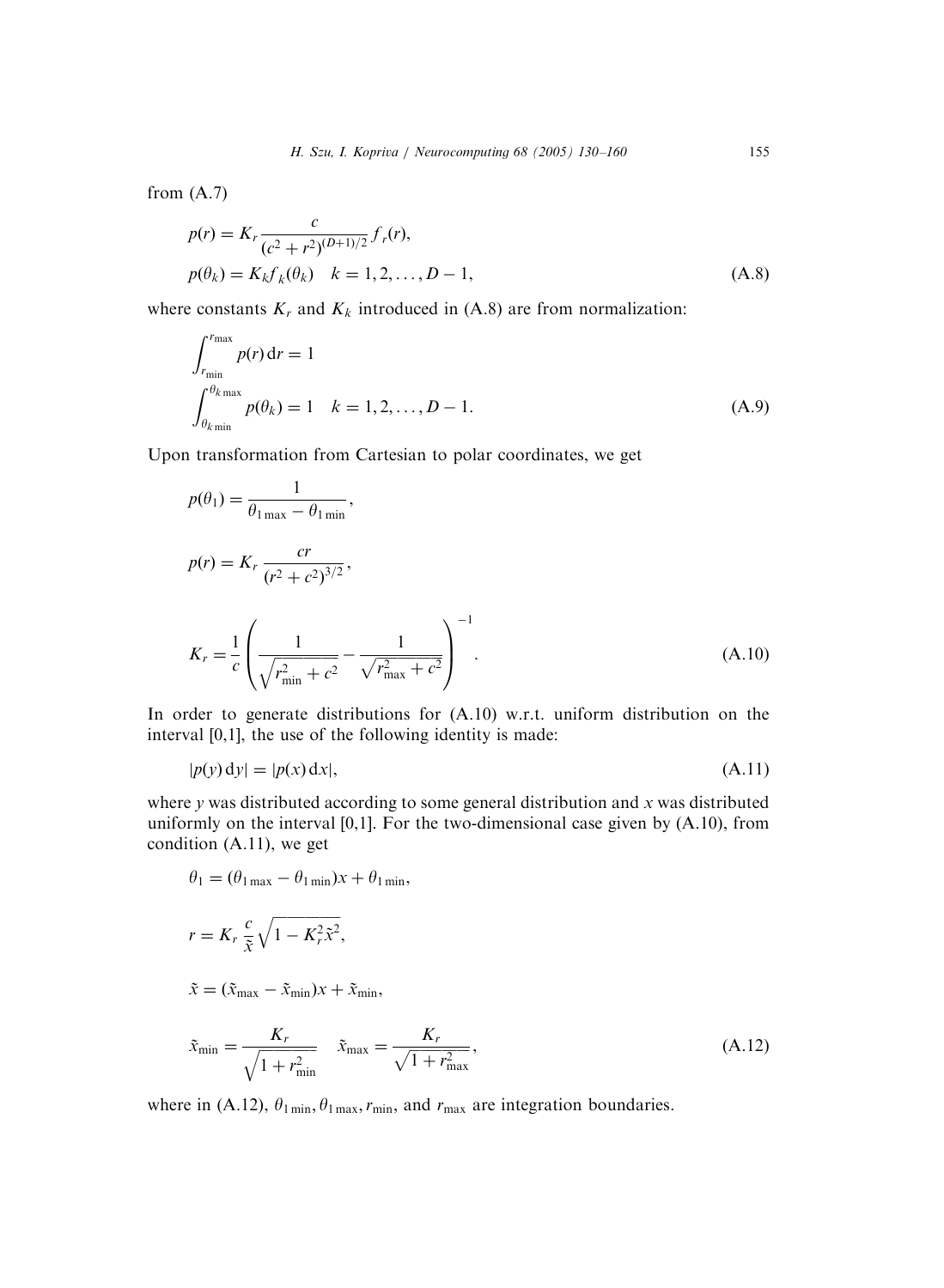from (A.7)

$$
p(r) = K_r \frac{c}{(c^2 + r^2)^{(D+1)/2}} f_r(r),
$$
  
\n
$$
p(\theta_k) = K_k f_k(\theta_k) \quad k = 1, 2, ..., D-1,
$$
\n(A.8)

where constants  $K_r$  and  $K_k$  introduced in (A.8) are from normalization:

$$
\int_{r_{\min}}^{r_{\max}} p(r) dr = 1
$$
\n
$$
\int_{\theta_{k_{\min}}}^{\theta_{k_{\max}}} p(\theta_k) = 1 \quad k = 1, 2, \dots, D - 1.
$$
\n(A.9)

Upon transformation from Cartesian to polar coordinates, we get

$$
p(\theta_1) = \frac{1}{\theta_{1\max} - \theta_{1\min}},
$$
  
\n
$$
p(r) = K_r \frac{cr}{(r^2 + c^2)^{3/2}},
$$
  
\n
$$
K_r = \frac{1}{c} \left( \frac{1}{\sqrt{r_{\min}^2 + c^2}} - \frac{1}{\sqrt{r_{\max}^2 + c^2}} \right)^{-1}.
$$
\n(A.10)

In order to generate distributions for (A.10) w.r.t. uniform distribution on the interval [0,1], the use of the following identity is made:

$$
|p(y) dy| = |p(x) dx|,
$$
\n(A.11)

where  $y$  was distributed according to some general distribution and  $x$  was distributed uniformly on the interval  $[0,1]$ . For the two-dimensional case given by  $(A.10)$ , from condition (A.11), we get

$$
\theta_1 = (\theta_{1\max} - \theta_{1\min})x + \theta_{1\min},
$$
\n
$$
r = K_r \frac{c}{\tilde{x}} \sqrt{1 - K_r^2 \tilde{x}^2},
$$
\n
$$
\tilde{x} = (\tilde{x}_{\max} - \tilde{x}_{\min})x + \tilde{x}_{\min},
$$
\n
$$
\tilde{x}_{\min} = \frac{K_r}{\sqrt{1 + r_{\min}^2}}, \qquad \tilde{x}_{\max} = \frac{K_r}{\sqrt{1 + r_{\max}^2}},
$$
\n(A.12)

where in (A.12),  $\theta_{1 \text{ min}}, \theta_{1 \text{ max}}, r_{\text{min}}$ , and  $r_{\text{max}}$  are integration boundaries.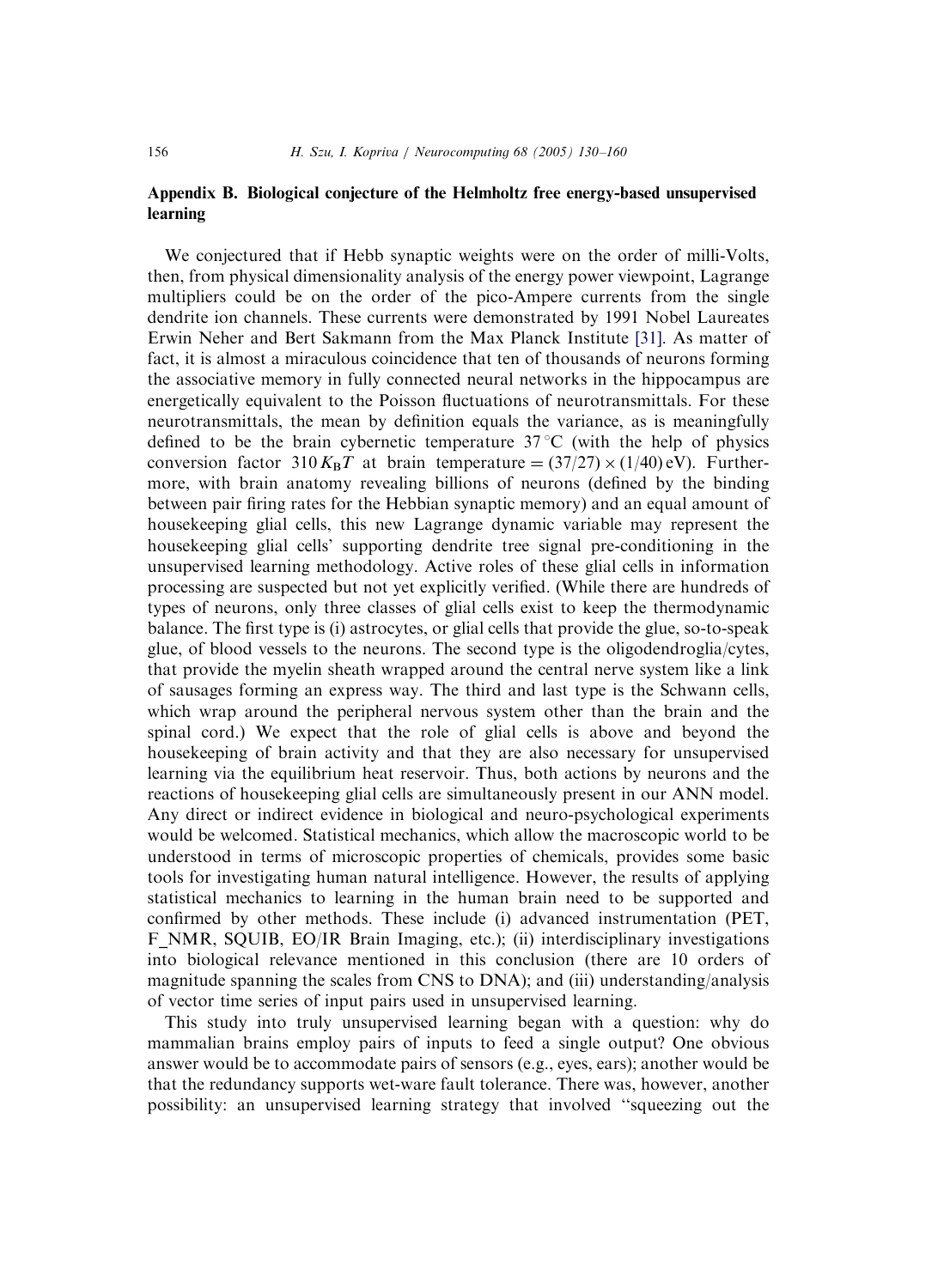## Appendix B. Biological conjecture of the Helmholtz free energy-based unsupervised learning

We conjectured that if Hebb synaptic weights were on the order of milli-Volts, then, from physical dimensionality analysis of the energy power viewpoint, Lagrange multipliers could be on the order of the pico-Ampere currents from the single dendrite ion channels. These currents were demonstrated by 1991 Nobel Laureates Erwin Neher and Bert Sakmann from the Max Planck Institute [\[31\].](#page-29-0) As matter of fact, it is almost a miraculous coincidence that ten of thousands of neurons forming the associative memory in fully connected neural networks in the hippocampus are energetically equivalent to the Poisson fluctuations of neurotransmittals. For these neurotransmittals, the mean by definition equals the variance, as is meaningfully defined to be the brain cybernetic temperature  $37^{\circ}$ C (with the help of physics conversion factor 310 K<sub>B</sub>T at brain temperature =  $(37/27) \times (1/40)$  eV). Furthermore, with brain anatomy revealing billions of neurons (defined by the binding between pair firing rates for the Hebbian synaptic memory) and an equal amount of housekeeping glial cells, this new Lagrange dynamic variable may represent the housekeeping glial cells' supporting dendrite tree signal pre-conditioning in the unsupervised learning methodology. Active roles of these glial cells in information processing are suspected but not yet explicitly verified. (While there are hundreds of types of neurons, only three classes of glial cells exist to keep the thermodynamic balance. The first type is (i) astrocytes, or glial cells that provide the glue, so-to-speak glue, of blood vessels to the neurons. The second type is the oligodendroglia/cytes, that provide the myelin sheath wrapped around the central nerve system like a link of sausages forming an express way. The third and last type is the Schwann cells, which wrap around the peripheral nervous system other than the brain and the spinal cord.) We expect that the role of glial cells is above and beyond the housekeeping of brain activity and that they are also necessary for unsupervised learning via the equilibrium heat reservoir. Thus, both actions by neurons and the reactions of housekeeping glial cells are simultaneously present in our ANN model. Any direct or indirect evidence in biological and neuro-psychological experiments would be welcomed. Statistical mechanics, which allow the macroscopic world to be understood in terms of microscopic properties of chemicals, provides some basic tools for investigating human natural intelligence. However, the results of applying statistical mechanics to learning in the human brain need to be supported and confirmed by other methods. These include (i) advanced instrumentation (PET, F\_NMR, SQUIB, EO/IR Brain Imaging, etc.); (ii) interdisciplinary investigations into biological relevance mentioned in this conclusion (there are 10 orders of magnitude spanning the scales from CNS to DNA); and (iii) understanding/analysis of vector time series of input pairs used in unsupervised learning.

This study into truly unsupervised learning began with a question: why do mammalian brains employ pairs of inputs to feed a single output? One obvious answer would be to accommodate pairs of sensors (e.g., eyes, ears); another would be that the redundancy supports wet-ware fault tolerance. There was, however, another possibility: an unsupervised learning strategy that involved ''squeezing out the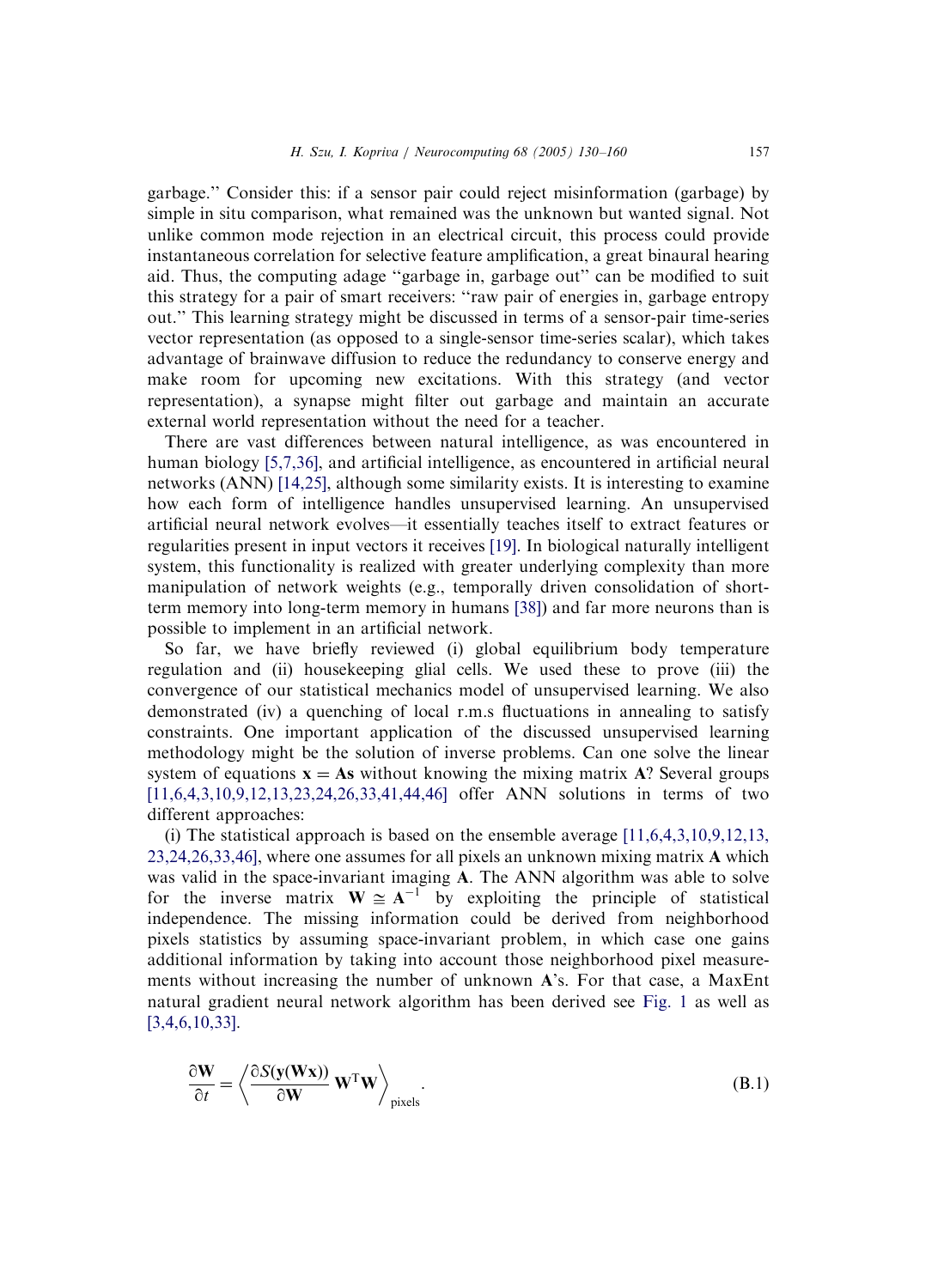garbage.'' Consider this: if a sensor pair could reject misinformation (garbage) by simple in situ comparison, what remained was the unknown but wanted signal. Not unlike common mode rejection in an electrical circuit, this process could provide instantaneous correlation for selective feature amplification, a great binaural hearing aid. Thus, the computing adage ''garbage in, garbage out'' can be modified to suit this strategy for a pair of smart receivers: ''raw pair of energies in, garbage entropy out.'' This learning strategy might be discussed in terms of a sensor-pair time-series vector representation (as opposed to a single-sensor time-series scalar), which takes advantage of brainwave diffusion to reduce the redundancy to conserve energy and make room for upcoming new excitations. With this strategy (and vector representation), a synapse might filter out garbage and maintain an accurate external world representation without the need for a teacher.

There are vast differences between natural intelligence, as was encountered in human biology [\[5,7,36\],](#page-28-0) and artificial intelligence, as encountered in artificial neural networks (ANN) [\[14,25\]](#page-28-0), although some similarity exists. It is interesting to examine how each form of intelligence handles unsupervised learning. An unsupervised artificial neural network evolves—it essentially teaches itself to extract features or regularities present in input vectors it receives [\[19\].](#page-28-0) In biological naturally intelligent system, this functionality is realized with greater underlying complexity than more manipulation of network weights (e.g., temporally driven consolidation of shortterm memory into long-term memory in humans [\[38\]](#page-29-0)) and far more neurons than is possible to implement in an artificial network.

So far, we have briefly reviewed (i) global equilibrium body temperature regulation and (ii) housekeeping glial cells. We used these to prove (iii) the convergence of our statistical mechanics model of unsupervised learning. We also demonstrated (iv) a quenching of local r.m.s fluctuations in annealing to satisfy constraints. One important application of the discussed unsupervised learning methodology might be the solution of inverse problems. Can one solve the linear system of equations  $x = As$  without knowing the mixing matrix A? Several groups [\[11,6,4,3,10,9,12,13,23,24,26,33,41,44,46\]](#page-28-0) offer ANN solutions in terms of two different approaches:

(i) The statistical approach is based on the ensemble average [\[11,6,4,3,10,9,12,13,](#page-28-0) [23,24,26,33,46\]](#page-28-0), where one assumes for all pixels an unknown mixing matrix A which was valid in the space-invariant imaging A. The ANN algorithm was able to solve for the inverse matrix  $W \cong A^{-1}$  by exploiting the principle of statistical independence. The missing information could be derived from neighborhood pixels statistics by assuming space-invariant problem, in which case one gains additional information by taking into account those neighborhood pixel measurements without increasing the number of unknown A's. For that case, a MaxEnt natural gradient neural network algorithm has been derived see [Fig. 1](#page-3-0) as well as [\[3,4,6,10,33\]](#page-28-0).

$$
\frac{\partial \mathbf{W}}{\partial t} = \left\langle \frac{\partial S(\mathbf{y}(\mathbf{W}\mathbf{x}))}{\partial \mathbf{W}} \mathbf{W}^{\mathrm{T}} \mathbf{W} \right\rangle_{\text{pixels}}.
$$
(B.1)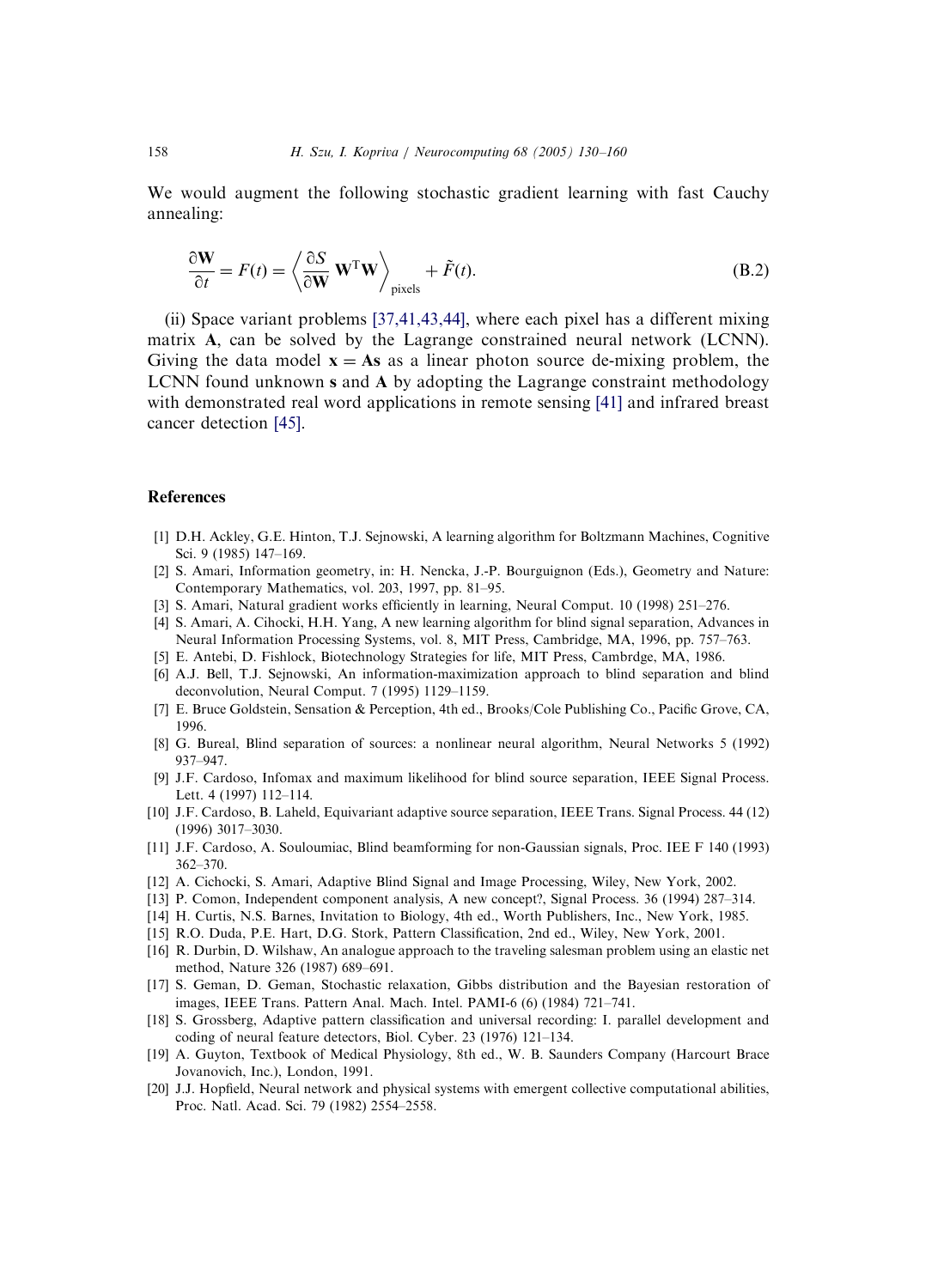<span id="page-28-0"></span>We would augment the following stochastic gradient learning with fast Cauchy annealing:

$$
\frac{\partial \mathbf{W}}{\partial t} = F(t) = \left\langle \frac{\partial S}{\partial \mathbf{W}} \mathbf{W}^{\mathrm{T}} \mathbf{W} \right\rangle_{\text{pixels}} + \tilde{F}(t). \tag{B.2}
$$

(ii) Space variant problems [\[37,41,43,44\]](#page-29-0), where each pixel has a different mixing matrix A, can be solved by the Lagrange constrained neural network (LCNN). Giving the data model  $x = As$  as a linear photon source de-mixing problem, the LCNN found unknown s and A by adopting the Lagrange constraint methodology with demonstrated real word applications in remote sensing [\[41\]](#page-29-0) and infrared breast cancer detection [\[45\].](#page-29-0)

#### References

- [1] D.H. Ackley, G.E. Hinton, T.J. Sejnowski, A learning algorithm for Boltzmann Machines, Cognitive Sci. 9 (1985) 147–169.
- [2] S. Amari, Information geometry, in: H. Nencka, J.-P. Bourguignon (Eds.), Geometry and Nature: Contemporary Mathematics, vol. 203, 1997, pp. 81–95.
- [3] S. Amari, Natural gradient works efficiently in learning, Neural Comput. 10 (1998) 251–276.
- [4] S. Amari, A. Cihocki, H.H. Yang, A new learning algorithm for blind signal separation, Advances in Neural Information Processing Systems, vol. 8, MIT Press, Cambridge, MA, 1996, pp. 757–763.
- [5] E. Antebi, D. Fishlock, Biotechnology Strategies for life, MIT Press, Cambrdge, MA, 1986.
- [6] A.J. Bell, T.J. Sejnowski, An information-maximization approach to blind separation and blind deconvolution, Neural Comput. 7 (1995) 1129–1159.
- [7] E. Bruce Goldstein, Sensation & Perception, 4th ed., Brooks/Cole Publishing Co., Pacific Grove, CA, 1996.
- [8] G. Bureal, Blind separation of sources: a nonlinear neural algorithm, Neural Networks 5 (1992) 937–947.
- [9] J.F. Cardoso, Infomax and maximum likelihood for blind source separation, IEEE Signal Process. Lett. 4 (1997) 112–114.
- [10] J.F. Cardoso, B. Laheld, Equivariant adaptive source separation, IEEE Trans. Signal Process. 44 (12) (1996) 3017–3030.
- [11] J.F. Cardoso, A. Souloumiac, Blind beamforming for non-Gaussian signals, Proc. IEE F 140 (1993) 362–370.
- [12] A. Cichocki, S. Amari, Adaptive Blind Signal and Image Processing, Wiley, New York, 2002.
- [13] P. Comon, Independent component analysis, A new concept?, Signal Process. 36 (1994) 287–314.
- [14] H. Curtis, N.S. Barnes, Invitation to Biology, 4th ed., Worth Publishers, Inc., New York, 1985.
- [15] R.O. Duda, P.E. Hart, D.G. Stork, Pattern Classification, 2nd ed., Wiley, New York, 2001.
- [16] R. Durbin, D. Wilshaw, An analogue approach to the traveling salesman problem using an elastic net method, Nature 326 (1987) 689–691.
- [17] S. Geman, D. Geman, Stochastic relaxation, Gibbs distribution and the Bayesian restoration of images, IEEE Trans. Pattern Anal. Mach. Intel. PAMI-6 (6) (1984) 721–741.
- [18] S. Grossberg, Adaptive pattern classification and universal recording: I. parallel development and coding of neural feature detectors, Biol. Cyber. 23 (1976) 121–134.
- [19] A. Guyton, Textbook of Medical Physiology, 8th ed., W. B. Saunders Company (Harcourt Brace Jovanovich, Inc.), London, 1991.
- [20] J.J. Hopfield, Neural network and physical systems with emergent collective computational abilities, Proc. Natl. Acad. Sci. 79 (1982) 2554–2558.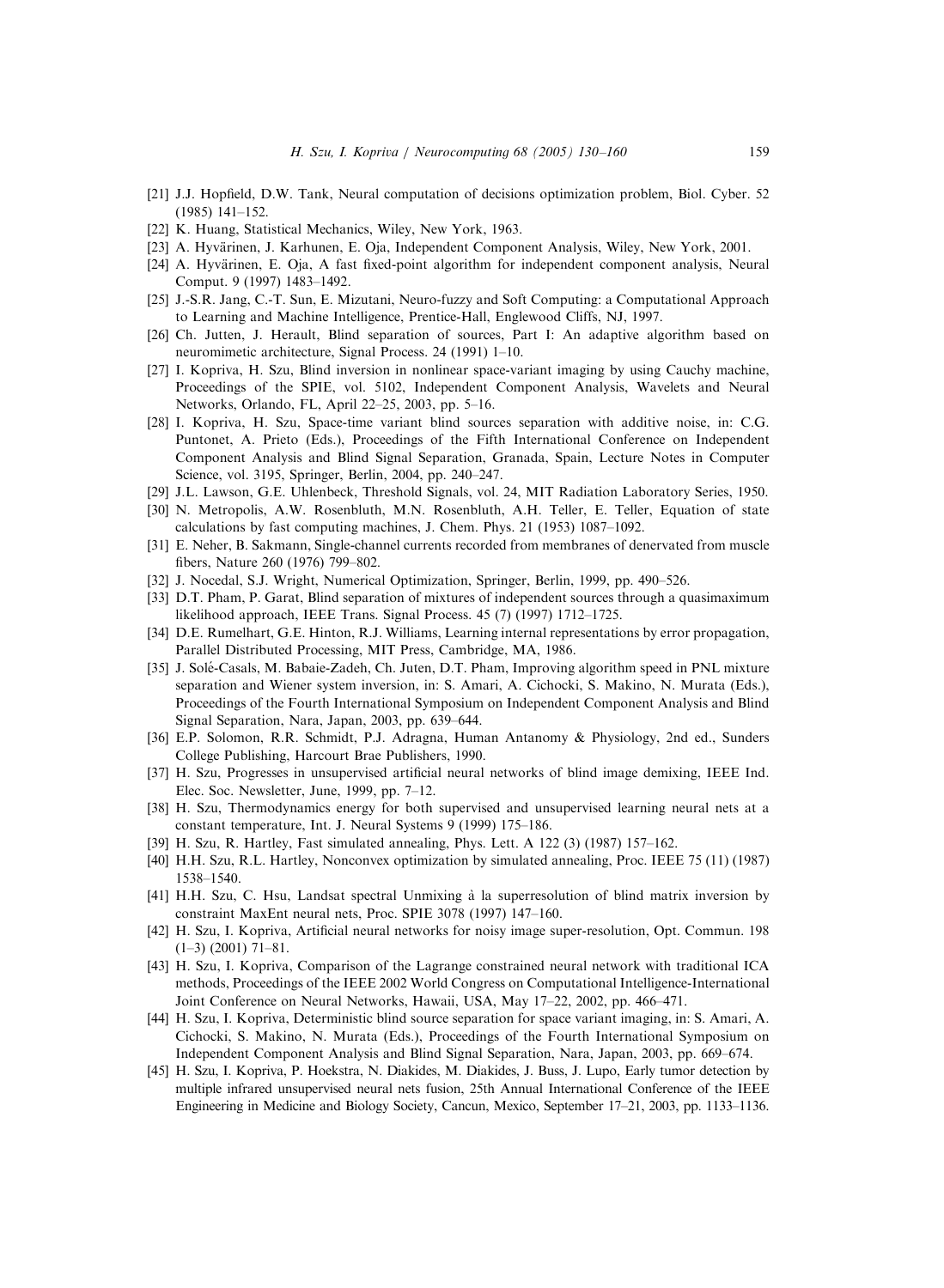- <span id="page-29-0"></span>[21] J.J. Hopfield, D.W. Tank, Neural computation of decisions optimization problem, Biol. Cyber. 52 (1985) 141–152.
- [22] K. Huang, Statistical Mechanics, Wiley, New York, 1963.
- [23] A. Hyvärinen, J. Karhunen, E. Oia, Independent Component Analysis, Wiley, New York, 2001.
- [24] A. Hyvärinen, E. Oja, A fast fixed-point algorithm for independent component analysis, Neural Comput. 9 (1997) 1483–1492.
- [25] J.-S.R. Jang, C.-T. Sun, E. Mizutani, Neuro-fuzzy and Soft Computing: a Computational Approach to Learning and Machine Intelligence, Prentice-Hall, Englewood Cliffs, NJ, 1997.
- [26] Ch. Jutten, J. Herault, Blind separation of sources, Part I: An adaptive algorithm based on neuromimetic architecture, Signal Process. 24 (1991) 1–10.
- [27] I. Kopriva, H. Szu, Blind inversion in nonlinear space-variant imaging by using Cauchy machine, Proceedings of the SPIE, vol. 5102, Independent Component Analysis, Wavelets and Neural Networks, Orlando, FL, April 22–25, 2003, pp. 5–16.
- [28] I. Kopriva, H. Szu, Space-time variant blind sources separation with additive noise, in: C.G. Puntonet, A. Prieto (Eds.), Proceedings of the Fifth International Conference on Independent Component Analysis and Blind Signal Separation, Granada, Spain, Lecture Notes in Computer Science, vol. 3195, Springer, Berlin, 2004, pp. 240–247.
- [29] J.L. Lawson, G.E. Uhlenbeck, Threshold Signals, vol. 24, MIT Radiation Laboratory Series, 1950.
- [30] N. Metropolis, A.W. Rosenbluth, M.N. Rosenbluth, A.H. Teller, E. Teller, Equation of state calculations by fast computing machines, J. Chem. Phys. 21 (1953) 1087–1092.
- [31] E. Neher, B. Sakmann, Single-channel currents recorded from membranes of denervated from muscle fibers, Nature 260 (1976) 799–802.
- [32] J. Nocedal, S.J. Wright, Numerical Optimization, Springer, Berlin, 1999, pp. 490–526.
- [33] D.T. Pham, P. Garat, Blind separation of mixtures of independent sources through a quasimaximum likelihood approach, IEEE Trans. Signal Process. 45 (7) (1997) 1712–1725.
- [34] D.E. Rumelhart, G.E. Hinton, R.J. Williams, Learning internal representations by error propagation, Parallel Distributed Processing, MIT Press, Cambridge, MA, 1986.
- [35] J. Solé-Casals, M. Babaie-Zadeh, Ch. Juten, D.T. Pham, Improving algorithm speed in PNL mixture separation and Wiener system inversion, in: S. Amari, A. Cichocki, S. Makino, N. Murata (Eds.), Proceedings of the Fourth International Symposium on Independent Component Analysis and Blind Signal Separation, Nara, Japan, 2003, pp. 639–644.
- [36] E.P. Solomon, R.R. Schmidt, P.J. Adragna, Human Antanomy & Physiology, 2nd ed., Sunders College Publishing, Harcourt Brae Publishers, 1990.
- [37] H. Szu, Progresses in unsupervised artificial neural networks of blind image demixing, IEEE Ind. Elec. Soc. Newsletter, June, 1999, pp. 7–12.
- [38] H. Szu, Thermodynamics energy for both supervised and unsupervised learning neural nets at a constant temperature, Int. J. Neural Systems 9 (1999) 175–186.
- [39] H. Szu, R. Hartley, Fast simulated annealing, Phys. Lett. A 122 (3) (1987) 157–162.
- [40] H.H. Szu, R.L. Hartley, Nonconvex optimization by simulated annealing, Proc. IEEE 75 (11) (1987) 1538–1540.
- [41] H.H. Szu, C. Hsu, Landsat spectral Unmixing a` la superresolution of blind matrix inversion by constraint MaxEnt neural nets, Proc. SPIE 3078 (1997) 147–160.
- [42] H. Szu, I. Kopriva, Artificial neural networks for noisy image super-resolution, Opt. Commun. 198  $(1-3)$   $(2001)$   $71-81$ .
- [43] H. Szu, I. Kopriva, Comparison of the Lagrange constrained neural network with traditional ICA methods, Proceedings of the IEEE 2002 World Congress on Computational Intelligence-International Joint Conference on Neural Networks, Hawaii, USA, May 17–22, 2002, pp. 466–471.
- [44] H. Szu, I. Kopriva, Deterministic blind source separation for space variant imaging, in: S. Amari, A. Cichocki, S. Makino, N. Murata (Eds.), Proceedings of the Fourth International Symposium on Independent Component Analysis and Blind Signal Separation, Nara, Japan, 2003, pp. 669–674.
- [45] H. Szu, I. Kopriva, P. Hoekstra, N. Diakides, M. Diakides, J. Buss, J. Lupo, Early tumor detection by multiple infrared unsupervised neural nets fusion, 25th Annual International Conference of the IEEE Engineering in Medicine and Biology Society, Cancun, Mexico, September 17–21, 2003, pp. 1133–1136.